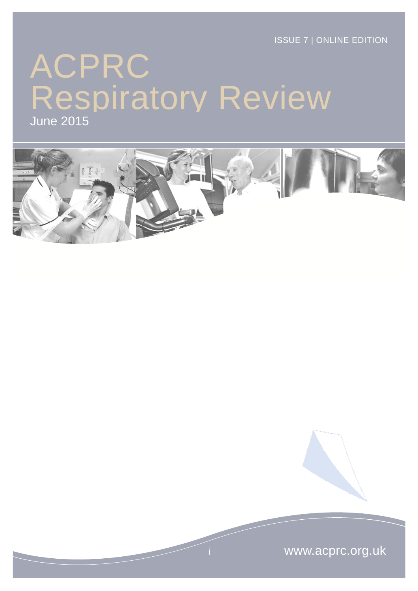ISSUE 7 | ONLINE EDITION

# ACPRC June 2015 Respiratory Review



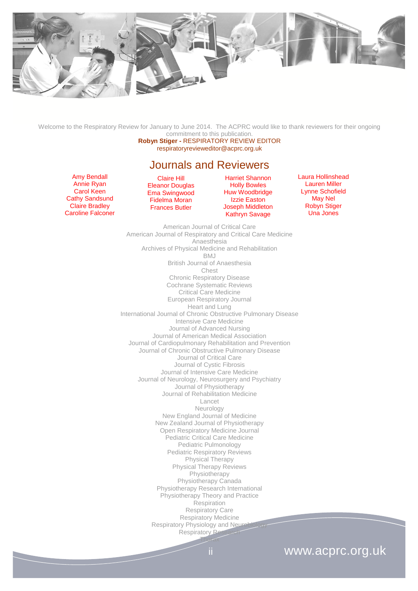

Welcome to the Respiratory Review for January to June 2014. The ACPRC would like to thank reviewers for their ongoing commitment to this publication.

**Robyn Stiger -** RESPIRATORY REVIEW EDITOR respiratoryrevieweditor@acprc.org.uk

#### Journals and Reviewers

Amy Bendall Annie Ryan Carol Keen Cathy Sandsund Claire Bradley Caroline Falconer

Claire Hill Eleanor Douglas Ema Swingwood Fidelma Moran Frances Butler

Harriet Shannon Holly Bowles Huw Woodbridge Izzie Easton Joseph Middleton Kathryn Savage

Laura Hollinshead Lauren Miller Lynne Schofield May Nel Robyn Stiger Una Jones

American Journal of Critical Care American Journal of Respiratory and Critical Care Medicine Anaesthesia Archives of Physical Medicine and Rehabilitation BMJ British Journal of Anaesthesia Chest Chronic Respiratory Disease Cochrane Systematic Reviews Critical Care Medicine European Respiratory Journal Heart and Lung International Journal of Chronic Obstructive Pulmonary Disease Intensive Care Medicine Journal of Advanced Nursing Journal of American Medical Association Journal of Cardiopulmonary Rehabilitation and Prevention Journal of Chronic Obstructive Pulmonary Disease Journal of Critical Care Journal of Cystic Fibrosis Journal of Intensive Care Medicine Journal of Neurology, Neurosurgery and Psychiatry Journal of Physiotherapy Journal of Rehabilitation Medicine Lancet Neurology New England Journal of Medicine New Zealand Journal of Physiotherapy Open Respiratory Medicine Journal Pediatric Critical Care Medicine Pediatric Pulmonology Pediatric Respiratory Reviews Physical Therapy Physical Therapy Reviews Physiotherapy Physiotherapy Canada Physiotherapy Research International Physiotherapy Theory and Practice **Respiration** Respiratory Care Respiratory Medicine Respiratory Physiology and Neuro Respiratory Re Thorax

# ii www.acprc.org.uk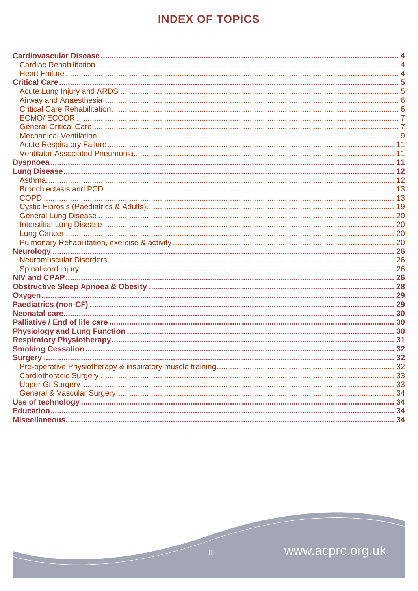# **INDEX OF TOPICS**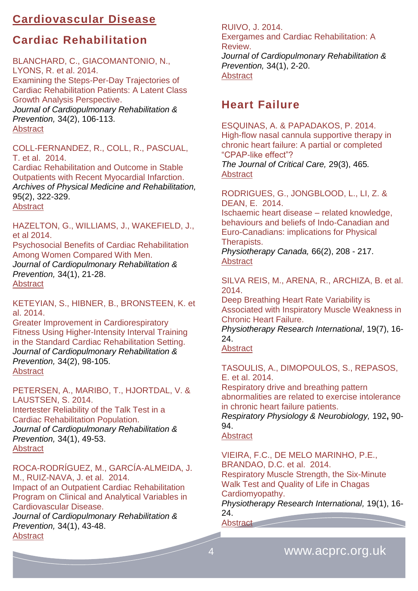# <span id="page-3-0"></span>**Cardiovascular Disease**

# <span id="page-3-1"></span>**Cardiac Rehabilitation**

BLANCHARD, C., GIACOMANTONIO, N., LYONS, R. et al. 2014. Examining the Steps-Per-Day Trajectories of Cardiac Rehabilitation Patients: A Latent Class Growth Analysis Perspective. *Journal of Cardiopulmonary Rehabilitation & Prevention,* 34(2), 106-113. **[Abstract](http://journals.lww.com/jcrjournal/Abstract/2014/03000/Examining_the_Steps_Per_Day_Trajectories_of.3.aspx)** 

COLL-FERNANDEZ, R., COLL, R., PASCUAL, T. et al. 2014.

Cardiac Rehabilitation and Outcome in Stable Outpatients with Recent Myocardial Infarction. *Archives of Physical Medicine and Rehabilitation,* 95(2), 322-329. **[Abstract](http://www.archives-pmr.org/article/S0003-9993(13)01012-5/abstract)** 

HAZELTON, G., WILLIAMS, J., WAKEFIELD, J., et al 2014.

Psychosocial Benefits of Cardiac Rehabilitation Among Women Compared With Men. *Journal of Cardiopulmonary Rehabilitation & Prevention,* 34(1), 21-28. **[Abstract](http://journals.lww.com/jcrjournal/Abstract/2014/01000/Psychosocial_Benefits_of_Cardiac_Rehabilitation.3.aspx)** 

KETEYIAN, S., HIBNER, B., BRONSTEEN, K. et al. 2014.

Greater Improvement in Cardiorespiratory Fitness Using Higher-Intensity Interval Training in the Standard Cardiac Rehabilitation Setting. *Journal of Cardiopulmonary Rehabilitation & Prevention,* 34(2), 98-105. [Abstract](http://journals.lww.com/jcrjournal/Abstract/2014/03000/Greater_Improvement_in_Cardiorespiratory_Fitness.2.aspx)

PETERSEN, A., MARIBO, T., HJORTDAL, V. & LAUSTSEN, S. 2014. Intertester Reliability of the Talk Test in a Cardiac Rehabilitation Population. *Journal of Cardiopulmonary Rehabilitation & Prevention,* 34(1), 49-53. [Abstract](http://journals.lww.com/jcrjournal/Abstract/2014/01000/Intertester_Reliability_of_the_Talk_Test_in_a.7.aspx)

ROCA-RODRÍGUEZ, M., GARCÍA-ALMEIDA, J. M., RUIZ-NAVA, J. et al. 2014. Impact of an Outpatient Cardiac Rehabilitation Program on Clinical and Analytical Variables in Cardiovascular Disease.

*Journal of Cardiopulmonary Rehabilitation & Prevention,* 34(1), 43-48. **[Abstract](http://journals.lww.com/jcrjournal/Abstract/2014/01000/Impact_of_an_Outpatient_Cardiac_Rehabilitation.6.aspx)** 

RUIVO, J. 2014. Exergames and Cardiac Rehabilitation: A Review. *Journal of Cardiopulmonary Rehabilitation & Prevention,* 34(1), 2-20. [Abstract](http://journals.lww.com/jcrjournal/Abstract/2014/01000/Exergames_and_Cardiac_Rehabilitation__A_REVIEW.2.aspx)

# <span id="page-3-2"></span>**Heart Failure**

ESQUINAS, A. & PAPADAKOS, P. 2014. High-flow nasal cannula supportive therapy in chronic heart failure: A partial or completed "CPAP-like effect"? *The Journal of Critical Care,* 29(3), 465*.*  **[Abstract](http://www.jccjournal.org/article/S0883-9441(14)00052-5/abstract)** 

RODRIGUES, G., JONGBLOOD, L., LI, Z. & DEAN, E. 2014. Ischaemic heart disease – related knowledge, behaviours and beliefs of Indo-Canadian and Euro-Canadians: implications for Physical Therapists.

*Physiotherapy Canada,* 66(2), 208 - 217. **[Abstract](http://www.ncbi.nlm.nih.gov/pmc/articles/PMC4006417/)** 

SILVA REIS, M., ARENA, R., ARCHIZA, B. et al. 2014.

Deep Breathing Heart Rate Variability is Associated with Inspiratory Muscle Weakness in Chronic Heart Failure.

*Physiotherapy Research International*, 19(7), 16- 24.

#### [Abstract](http://www.ncbi.nlm.nih.gov/pubmed/?term=Deep+Breathing+Heart+Rate+Variability+is+Associated+with+Inspiratory+Muscle+Weakness+in+Chronic+Heart+Failure+(pages+16%E2%80%9324))

TASOULIS, A., DIMOPOULOS, S., REPASOS, E. et al. 2014. Respiratory drive and breathing pattern abnormalities are related to exercise intolerance in chronic heart failure patients.

*Respiratory Physiology & Neurobiology,* 192**,** 90- 94.

#### **[Abstract](http://www.ncbi.nlm.nih.gov/pubmed/?term=Respiratory+drive+and+breathing+pattern+abnormalities+are+related+to+exercise+intolerance+in+chronic+heart+failure+patients.)**

VIEIRA, F.C., DE MELO MARINHO, P.E., BRANDAO, D.C. et al. 2014. Respiratory Muscle Strength, the Six-Minute Walk Test and Quality of Life in Chagas Cardiomyopathy. *Physiotherapy Research International,* 19(1), 16-

24. [Abstract](http://www.ncbi.nlm.nih.gov/pubmed/?term=Respiratory+Muscle+Strength%2C+the+Six-Minute+Walk+Test+and+Quality+of+Life+in+Chagas+Cardiomyopathy+(pages+8%E2%80%9315)) **Contained**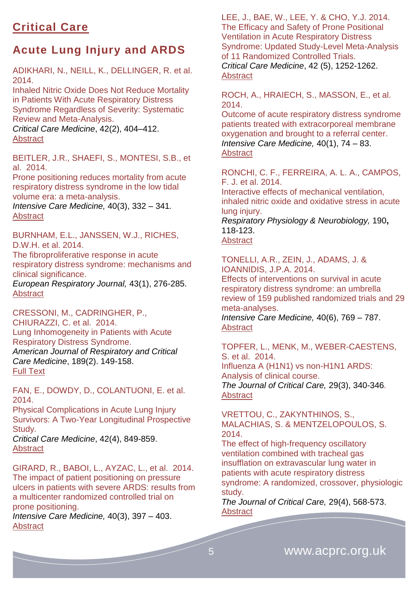# <span id="page-4-0"></span>**Critical Care**

# <span id="page-4-1"></span>**Acute Lung Injury and ARDS**

ADIKHARI, N., NEILL, K., DELLINGER, R. et al. 2014.

Inhaled Nitric Oxide Does Not Reduce Mortality in Patients With Acute Respiratory Distress Syndrome Regardless of Severity: Systematic Review and Meta-Analysis.

*Critical Care Medicine*, 42(2), [404–412.](http://journals.lww.com/ccmjournal/toc/2014/02000) [Abstract](http://journals.lww.com/ccmjournal/Abstract/2014/02000/Inhaled_Anticoagulation_Regimens_for_the_Treatment.22.aspx)

BEITLER, J.R., SHAEFI, S., MONTESI, S.B., et al. 2014.

[Prone positioning reduces mortality from acute](http://icmjournal.esicm.org/journal/134/40/3/3194_10.1007_s00134-013-3194-3/2013/Prone_positioning_reduces_mortality_from_acute_res.html)  [respiratory distress syndrome in the low tidal](http://icmjournal.esicm.org/journal/134/40/3/3194_10.1007_s00134-013-3194-3/2013/Prone_positioning_reduces_mortality_from_acute_res.html)  [volume era: a meta-analysis.](http://icmjournal.esicm.org/journal/134/40/3/3194_10.1007_s00134-013-3194-3/2013/Prone_positioning_reduces_mortality_from_acute_res.html)

*Intensive Care Medicine,* 40(3), 332 – 341*.* [Abstract](http://icmjournal.esicm.org/journals/abstract.html?v=40&j=134&i=3&a=3194_10.1007_s00134-013-3194-3&doi=)

BURNHAM, E.L., JANSSEN, W.J., RICHES, D.W.H. et al. 2014.

The fibroproliferative response in acute respiratory distress syndrome: mechanisms and clinical significance.

*European Respiratory Journal,* 43(1), 276-285. [Abstract](http://erj.ersjournals.com/content/43/1/276.abstract)

CRESSONI, M., CADRINGHER, P., CHIURAZZI, C. et al. 2014. Lung Inhomogeneity in Patients with Acute Respiratory Distress Syndrome. *American Journal of Respiratory and Critical Care Medicine*, 189(2). 149-158. [Full Text](http://www.atsjournals.org/doi/full/10.1164/rccm.201308-1567OC#.VLZrNyusV-s)

FAN, E., DOWDY, D., COLANTUONI, E. et al. 2014.

Physical Complications in Acute Lung Injury Survivors: A Two-Year Longitudinal Prospective Study. *Critical Care Medicine*, 42(4), 849-859.

[Abstract](http://journals.lww.com/ccmjournal/Abstract/2014/04000/Physical_Complications_in_Acute_Lung_Injury.11.aspx) 

GIRARD, R., BABOI, L., AYZAC, L., et al. 2014. [The impact of patient positioning on pressure](http://icmjournal.esicm.org/journal/134/40/3/3188_10.1007_s00134-013-3188-1/2013/The_impact_of_patient_positioning_on_pressure_ulce.html)  [ulcers in patients with severe ARDS: results from](http://icmjournal.esicm.org/journal/134/40/3/3188_10.1007_s00134-013-3188-1/2013/The_impact_of_patient_positioning_on_pressure_ulce.html)  [a multicenter randomized controlled trial on](http://icmjournal.esicm.org/journal/134/40/3/3188_10.1007_s00134-013-3188-1/2013/The_impact_of_patient_positioning_on_pressure_ulce.html)  [prone positioning.](http://icmjournal.esicm.org/journal/134/40/3/3188_10.1007_s00134-013-3188-1/2013/The_impact_of_patient_positioning_on_pressure_ulce.html)

*Intensive Care Medicine,* 40(3), 397 – 403. [Abstract](http://icmjournal.esicm.org/journals/abstract.html?v=40&j=134&i=3&a=3188_10.1007_s00134-013-3188-1&doi=)

LEE, J., BAE, W., LEE, Y. & CHO, Y.J. 2014. The Efficacy and Safety of Prone Positional Ventilation in Acute Respiratory Distress Syndrome: Updated Study-Level Meta-Analysis of 11 Randomized Controlled Trials. *Critical Care Medicine*, 42 (5), 1252-1262. [Abstract](http://journals.lww.com/ccmjournal/Abstract/2014/05000/The_Efficacy_and_Safety_of_Prone_Positional.27.aspx)

ROCH, A., HRAIECH, S., MASSON, E., et al. 2014.

[Outcome of acute respiratory distress syndrome](http://icmjournal.esicm.org/journal/134/40/1/3135_10.1007_s00134-013-3135-1/2013/Outcome_of_acute_respiratory_distress_syndrome_pat.html)  [patients treated with extracorporeal membrane](http://icmjournal.esicm.org/journal/134/40/1/3135_10.1007_s00134-013-3135-1/2013/Outcome_of_acute_respiratory_distress_syndrome_pat.html)  [oxygenation and brought to a referral center.](http://icmjournal.esicm.org/journal/134/40/1/3135_10.1007_s00134-013-3135-1/2013/Outcome_of_acute_respiratory_distress_syndrome_pat.html) *Intensive Care Medicine,* 40(1), 74 – 83. [Abstract](http://icmjournal.esicm.org/journals/abstract.html?v=40&j=134&i=1&a=3135_10.1007_s00134-013-3135-1&doi=)

RONCHI, C. F., FERREIRA, A. L. A., CAMPOS, F. J. et al. 2014. Interactive effects of mechanical ventilation, inhaled nitric oxide and oxidative stress in acute lung injury.

*Respiratory Physiology & Neurobiology,* 190**,** 118-123.

[Abstract](http://www.ncbi.nlm.nih.gov/pubmed/?term=Interactive+effects+of+mechanical+ventilation%2C+inhaled+nitric+oxide+and+oxidative+stress+in+acute+lung+injury.)

TONELLI, A.R., ZEIN, J., ADAMS, J. & IOANNIDIS, J.P.A. 2014.

[Effects of interventions on survival in acute](http://icmjournal.esicm.org/journal/134/40/6/3272_10.1007_s00134-014-3272-1/2014/Effects_of_interventions_on_survival_in_acute_resp.html)  [respiratory distress syndrome: an umbrella](http://icmjournal.esicm.org/journal/134/40/6/3272_10.1007_s00134-014-3272-1/2014/Effects_of_interventions_on_survival_in_acute_resp.html)  [review of 159 published randomized trials and 29](http://icmjournal.esicm.org/journal/134/40/6/3272_10.1007_s00134-014-3272-1/2014/Effects_of_interventions_on_survival_in_acute_resp.html)  [meta-analyses.](http://icmjournal.esicm.org/journal/134/40/6/3272_10.1007_s00134-014-3272-1/2014/Effects_of_interventions_on_survival_in_acute_resp.html)

*Intensive Care Medicine,* 40(6), 769 – 787. **[Abstract](http://icmjournal.esicm.org/journals/abstract.html?v=40&j=134&i=6&a=3272_10.1007_s00134-014-3272-1&doi=)** 

TOPFER, L., MENK, M., WEBER-CAESTENS, S. et al. 2014. Influenza A (H1N1) vs non-H1N1 ARDS: Analysis of clinical course. *The Journal of Critical Care,* 29(3), 340-346*.* **[Abstract](http://www.jccjournal.org/article/S0883-9441(13)00481-4/abstract)** 

VRETTOU, C., ZAKYNTHINOS, S., MALACHIAS, S. & MENTZELOPOULOS, S. 2014.

The effect of high-frequency oscillatory ventilation combined with tracheal gas insufflation on extravascular lung water in patients with acute respiratory distress syndrome: A randomized, crossover, physiologic study.

*The Journal of Critical Care,* 29(4), 568-573. **[Abstract](http://www.jccjournal.org/article/S0883-9441(14)00120-8/abstract)**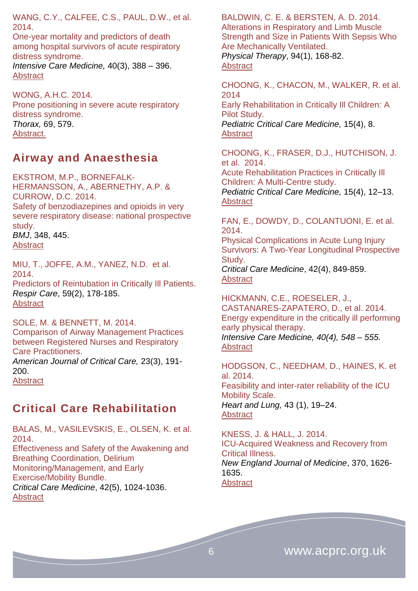WANG, C.Y., CALFEE, C.S., PAUL, D.W., et al. 2014.

[One-year mortality and predictors of death](http://icmjournal.esicm.org/journal/134/40/3/3186_10.1007_s00134-013-3186-3/2013/One-year_mortality_and_predictors_of_death_among_h.html)  [among hospital survivors of acute respiratory](http://icmjournal.esicm.org/journal/134/40/3/3186_10.1007_s00134-013-3186-3/2013/One-year_mortality_and_predictors_of_death_among_h.html)  [distress syndrome.](http://icmjournal.esicm.org/journal/134/40/3/3186_10.1007_s00134-013-3186-3/2013/One-year_mortality_and_predictors_of_death_among_h.html) *Intensive Care Medicine,* 40(3), 388 – 396.

WONG, A.H.C. 2014. Prone positioning in severe acute respiratory distress syndrome. *Thorax,* 69, 579. [Abstract.](http://www.thorax.bmj.com/content/69/6/579.extract)

#### <span id="page-5-0"></span>**Airway and Anaesthesia**

EKSTROM, M.P., BORNEFALK-HERMANSSON, A., ABERNETHY, A.P. & CURROW, D.C. 2014. Safety of benzodiazepines and opioids in very severe respiratory disease: national prospective study.

*BMJ*, 348, 445. **[Abstract](http://www.ncbi.nlm.nih.gov/pubmed/?term=Safety+of+benzodiazepines+and+opioids+in+very+severe+respiratory+disease%3A+national+prospective+study+BMJ+2014%3B+348+doi%3A+http%3A%2F%2Fdx.doi.org%2F10.1136%2Fbmj.g445+(Published+30+January+2014)+Cite+th)** 

[Abstract](http://icmjournal.esicm.org/journals/abstract.html?v=40&j=134&i=3&a=3186_10.1007_s00134-013-3186-3&doi=)

MIU, T., JOFFE, A.M., YANEZ, N.D. et al. 2014. Predictors of Reintubation in Critically Ill Patients. *Respir Care*, 59(2), 178-185.

[Abstract](http://rc.rcjournal.com/content/59/2/178.abstract)

SOLE, M. & BENNETT, M. 2014. Comparison of Airway Management Practices between Registered Nurses and Respiratory Care Practitioners. *American Journal of Critical Care,* 23(3), 191-

200. **[Abstract](http://ajcc.aacnjournals.org/content/23/3/191.abstract)** 

<span id="page-5-1"></span>**Critical Care Rehabilitation**

BALAS, M., VASILEVSKIS, E., OLSEN, K. et al. 2014. Effectiveness and Safety of the Awakening and Breathing Coordination, Delirium Monitoring/Management, and Early Exercise/Mobility Bundle. *Critical Care Medicine*, 42(5), 1024-1036. **[Abstract](http://journals.lww.com/ccmjournal/Abstract/2014/05000/Effectiveness_and_Safety_of_the_Awakening_and.2.aspx)** 

BALDWIN, C. E. & BERSTEN, A. D. 2014. Alterations in Respiratory and Limb Muscle Strength and Size in Patients With Sepsis Who Are Mechanically Ventilated. *Physical Therapy*, 94(1), 168-82. **[Abstract](http://ptjournal.apta.org/content/94/1/68.abstract)** 

CHOONG, K., CHACON, M., WALKER, R. et al. 2014

Early Rehabilitation in Critically Ill Children: A Pilot Study. *Pediatric Critical Care Medicine,* 15(4), 8. [Abstract](http://journals.lww.com/pccmjournal/Fulltext/2014/05001/ABSTRACT_19___EARLY_REHABILITATION_IN_CRITICALLY.19.aspx)

CHOONG, K., FRASER, D.J., HUTCHISON, J. et al. 2014. Acute Rehabilitation Practices in Critically Ill

Children: A Multi-Centre study. *Pediatric Critical Care Medicine,* 15(4), 12–13. [Abstract](http://journals.lww.com/pccmjournal/Fulltext/2014/05001/ABSTRACT_38___ACUTE_REHABILITATION_PRACTICES_IN.38.aspx)

FAN, E., DOWDY, D., COLANTUONI, E. et al. 2014. Physical Complications in Acute Lung Injury Survivors: A Two-Year Longitudinal Prospective Study. *Critical Care Medicine*, 42(4), 849-859. **Abstract** 

HICKMANN, C.E., ROESELER, J., CASTANARES-ZAPATERO, D., et al. 2014. [Energy expenditure in the critically ill performing](http://icmjournal.esicm.org/journal/134/40/4/3218_10.1007_s00134-014-3218-7/2014/Energy_expenditure_in_the_critically_ill_performin.html)  [early physical therapy.](http://icmjournal.esicm.org/journal/134/40/4/3218_10.1007_s00134-014-3218-7/2014/Energy_expenditure_in_the_critically_ill_performin.html) *Intensive Care Medicine, 40(4), 548 – 555.* [Abstract](http://icmjournal.esicm.org/journals/abstract.html?v=40&j=134&i=4&a=3218_10.1007_s00134-014-3218-7&doi=)

HODGSON, C., NEEDHAM, D., HAINES, K. et al. 2014. Feasibility and inter-rater reliability of the ICU Mobility Scale. *Heart and Lung,* 43 (1), 19–24. [Abstract](http://www.heartandlung.org/article/S0147-9563(13)00372-5/abstract)

KNESS, J. & HALL, J. 2014. ICU-Acquired Weakness and Recovery from Critical Illness. *New England Journal of Medicine*, 370, 1626- 1635. **[Abstract](http://www.nejm.org/doi/full/10.1056/NEJMra1209390)**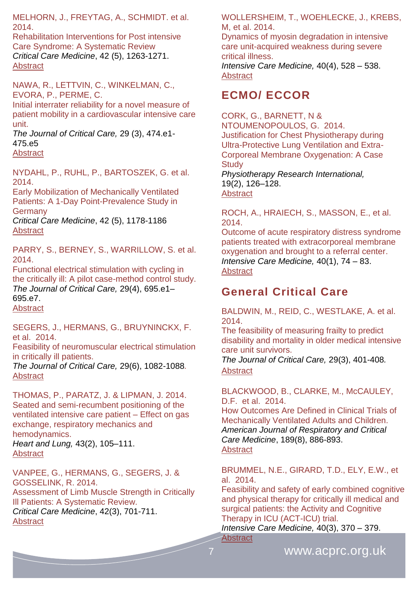MELHORN, J., FREYTAG, A., SCHMIDT. et al. 2014.

Rehabilitation Interventions for Post intensive Care Syndrome: A Systematic Review *Critical Care Medicine*, 42 (5), 1263-1271. **[Abstract](http://journals.lww.com/ccmjournal/Abstract/2014/05000/Rehabilitation_Interventions_for_Postintensive.28.aspx)** 

NAWA, R., LETTVIN, C., WINKELMAN, C., EVORA, P., PERME, C.

Initial interrater reliability for a novel measure of patient mobility in a cardiovascular intensive care unit.

*The Journal of Critical Care,* 29 (3), 474.e1- 475.e5

**[Abstract](http://www.jccjournal.org/article/S0883-9441(14)00047-1/abstract)** 

NYDAHL, P., RUHL, P., BARTOSZEK, G. et al. 2014.

Early Mobilization of Mechanically Ventilated Patients: A 1-Day Point-Prevalence Study in **Germany** 

*Critical Care Medicine*, 42 (5), 1178-1186 **[Abstract](file:///C:/Users/Simon/AppData/Roaming/Microsoft/Word/ournals.lww.com/ccmjournal/Abstract/2014/05000/Early_Mobilization_of_Mechanically_Ventilated.19.aspx)** 

PARRY, S., BERNEY, S., WARRILLOW, S. et al. 2014.

Functional electrical stimulation with cycling in the critically ill: A pilot case-method control study. *The Journal of Critical Care,* 29(4), 695.e1– 695.e7. [Abstract](http://www.jccjournal.org/article/S0883-9441(14)00094-X/abstract)

SEGERS, J., HERMANS, G., BRUYNINCKX, F. et al. 2014.

Feasibility of neuromuscular electrical stimulation in critically ill patients.

*The Journal of Critical Care,* 29(6), 1082-1088*.*  **Abstract** 

THOMAS, P., PARATZ, J. & LIPMAN, J. 2014. Seated and semi-recumbent positioning of the ventilated intensive care patient – Effect on gas exchange, respiratory mechanics and hemodynamics. *Heart and Lung,* 43(2), 105–111. [Abstract](http://www.heartandlung.org/article/S0147-9563(13)00412-3/abstract)

VANPEE, G., HERMANS, G., SEGERS, J. & GOSSELINK, R. 2014. Assessment of Limb Muscle Strength in Critically Ill Patients: A Systematic Review. *Critical Care Medicine*, 42(3), [701-711.](http://journals.lww.com/ccmjournal/toc/2014/02000) [Abstract](http://journals.lww.com/ccmjournal/pages/results.aspx?txtkeywords=limb+muscle+strength)

WOLLERSHEIM, T., WOEHLECKE, J., KREBS, M, et al. 2014.

[Dynamics of myosin degradation in intensive](http://icmjournal.esicm.org/journal/134/40/4/3224_10.1007_s00134-014-3224-9/2014/Dynamics_of_myosin_degradation_in_intensive_care_u.html)  [care unit-acquired weakness during severe](http://icmjournal.esicm.org/journal/134/40/4/3224_10.1007_s00134-014-3224-9/2014/Dynamics_of_myosin_degradation_in_intensive_care_u.html)  [critical illness.](http://icmjournal.esicm.org/journal/134/40/4/3224_10.1007_s00134-014-3224-9/2014/Dynamics_of_myosin_degradation_in_intensive_care_u.html)

*Intensive Care Medicine,* 40(4), 528 – 538. [Abstract](http://icmjournal.esicm.org/journals/abstract.html?v=40&j=134&i=4&a=3224_10.1007_s00134-014-3224-9&doi=)

### <span id="page-6-0"></span>**ECMO/ ECCOR**

CORK, G., BARNETT, N & NTOUMENOPOULOS, G. 2014. Justification for Chest Physiotherapy during Ultra-Protective Lung Ventilation and Extra-Corporeal Membrane Oxygenation: A Case **Study** *Physiotherapy Research International,* 19(2), 126–128. **[Abstract](http://www.ncbi.nlm.nih.gov/pubmed/?term=Justification+for+Chest+Physiotherapy+during+Ultra-Protective+Lung+Ventilation+and+Extra-Corporeal+Membrane+Oxygenation%3A+A+Case+Study)** 

ROCH, A., HRAIECH, S., MASSON, E., et al. 2014.

[Outcome of acute respiratory distress syndrome](http://icmjournal.esicm.org/journal/134/40/1/3135_10.1007_s00134-013-3135-1/2013/Outcome_of_acute_respiratory_distress_syndrome_pat.html)  [patients treated with extracorporeal membrane](http://icmjournal.esicm.org/journal/134/40/1/3135_10.1007_s00134-013-3135-1/2013/Outcome_of_acute_respiratory_distress_syndrome_pat.html)  [oxygenation and brought to a referral center.](http://icmjournal.esicm.org/journal/134/40/1/3135_10.1007_s00134-013-3135-1/2013/Outcome_of_acute_respiratory_distress_syndrome_pat.html) *Intensive Care Medicine,* 40(1), 74 – 83. **[Abstract](http://icmjournal.esicm.org/journals/abstract.html?v=40&j=134&i=1&a=3135_10.1007_s00134-013-3135-1&doi=)** 

### <span id="page-6-1"></span>**General Critical Care**

BALDWIN, M., REID, C., WESTLAKE, A. et al. 2014.

The feasibility of measuring frailty to predict disability and mortality in older medical intensive care unit survivors.

*The Journal of Critical Care,* 29(3), 401-408*.* **Abstract** 

BLACKWOOD, B., CLARKE, M., McCAULEY, D.F. et al. 2014.

How Outcomes Are Defined in Clinical Trials of Mechanically Ventilated Adults and Children. *American Journal of Respiratory and Critical Care Medicine*, 189(8), 886-893. **[Abstract](http://www.atsjournals.org/doi/abs/10.1164/rccm.201309-1645PP#.VLZ-_iusV-s)** 

BRUMMEL, N.E., GIRARD, T.D., ELY, E.W., et al. 2014.

[Feasibility and safety of early combined](http://icmjournal.esicm.org/journal/134/40/3/3136_10.1007_s00134-013-3136-0/2013/Feasibility_and_safety_of_early_combined_cognitive.html) cognitive [and physical therapy for critically ill medical and](http://icmjournal.esicm.org/journal/134/40/3/3136_10.1007_s00134-013-3136-0/2013/Feasibility_and_safety_of_early_combined_cognitive.html)  [surgical patients: the Activity and Cognitive](http://icmjournal.esicm.org/journal/134/40/3/3136_10.1007_s00134-013-3136-0/2013/Feasibility_and_safety_of_early_combined_cognitive.html)  [Therapy in ICU \(ACT-ICU\) trial.](http://icmjournal.esicm.org/journal/134/40/3/3136_10.1007_s00134-013-3136-0/2013/Feasibility_and_safety_of_early_combined_cognitive.html)

*Intensive Care Medicine,* 40(3), 370 – 379. **[Abstract](http://icmjournal.esicm.org/journals/abstract.html?v=40&j=134&i=3&a=3136_10.1007_s00134-013-3136-0&doi=)**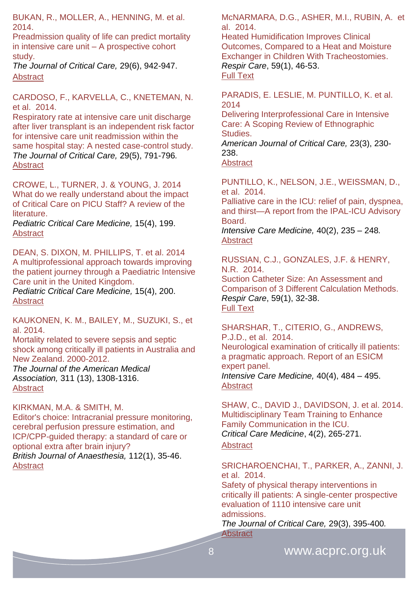BUKAN, R., MOLLER, A., HENNING, M. et al. 2014.

Preadmission quality of life can predict mortality in intensive care unit – A prospective cohort study.

*The Journal of Critical Care,* 29(6), 942-947. **[Abstract](http://www.jccjournal.org/article/S0883-9441(14)00240-8/abstract)** 

CARDOSO, F., KARVELLA, C., KNETEMAN, N. et al. 2014.

Respiratory rate at intensive care unit discharge after liver transplant is an independent risk factor for intensive care unit readmission within the same hospital stay: A nested case-control study. *The Journal of Critical Care,* 29(5), 791-796*.*  [Abstract](http://www.jccjournal.org/article/S0883-9441(14)00144-0/abstract)

CROWE, L., TURNER, J. & YOUNG, J. 2014 What do we really understand about the impact of Critical Care on PICU Staff? A review of the literature.

*Pediatric Critical Care Medicine,* 15(4), 199. [Abstract](http://journals.lww.com/pccmjournal/Fulltext/2014/05001/ABSTRACT_899___WHAT_DO_WE_REALLY_UNDERSTAND_ABOUT.896.aspx)

DEAN, S. DIXON, M. PHILLIPS, T. et al. 2014 A multiprofessional approach towards improving the patient journey through a Paediatric Intensive Care unit in the United Kingdom.

*Pediatric Critical Care Medicine,* 15(4), 200. [Abstract](http://journals.lww.com/pccmjournal/Fulltext/2014/05001/ABSTRACT_903___A_MULTIPROFESSIONAL_APPROACH.900.aspx)

KAUKONEN, K. M., BAILEY, M., SUZUKI, S., et al. 2014.

Mortality related to severe sepsis and septic shock among critically ill patients in Australia and New Zealand. 2000-2012.

*The Journal of the American Medical Association,* 311 (13), 1308-1316. [Abstract](http://www.ncbi.nlm.nih.gov/pubmed/24638143)

KIRKMAN, M.A. & SMITH, M.

Editor's choice: Intracranial pressure monitoring, cerebral perfusion pressure estimation, and ICP/CPP-guided therapy: a standard of care or optional extra after brain injury? *British Journal of Anaesthesia,* 112(1), 35-46.

**[Abstract](http://bja.oxfordjournals.org/content/112/1/35.abstract)** 

McNARMARA, D.G., ASHER, M.I., RUBIN, A. et al. 2014.

Heated Humidification Improves Clinical Outcomes, Compared to a Heat and Moisture Exchanger in Children With Tracheostomies. *Respir Care*, 59(1), 46-53. [Full Text](http://rc.rcjournal.com/content/59/1/46.full)

PARADIS, E. LESLIE, M. PUNTILLO, K. et al. 2014

Delivering Interprofessional Care in Intensive Care: A Scoping Review of Ethnographic Studies.

*American Journal of Critical Care,* 23(3), 230- 238.

**[Abstract](http://ajcc.aacnjournals.org/content/23/3/230.abstract)** 

PUNTILLO, K., NELSON, J.E., WEISSMAN, D., et al. 2014.

[Palliative care in the ICU: relief of pain, dyspnea,](http://icmjournal.esicm.org/journal/134/40/2/3153_10.1007_s00134-013-3153-z/2013/Palliative_care_in_the_ICU_relief_of_pain_dyspne.html)  [and thirst—A report from the IPAL-ICU Advisory](http://icmjournal.esicm.org/journal/134/40/2/3153_10.1007_s00134-013-3153-z/2013/Palliative_care_in_the_ICU_relief_of_pain_dyspne.html)  **Board** 

*Intensive Care Medicine,* 40(2), 235 – 248*.* [Abstract](http://icmjournal.esicm.org/journals/abstract.html?v=40&j=134&i=2&a=3153_10.1007_s00134-013-3153-z&doi=)

RUSSIAN, C.J., GONZALES, J.F. & HENRY, N.R. 2014.

Suction Catheter Size: An Assessment and Comparison of 3 Different Calculation Methods. *Respir Care*, 59(1), 32-38. [Full Text](http://rc.rcjournal.com/content/59/1/32.full)

SHARSHAR, T., CITERIO, G., ANDREWS, P.J.D., et al. 2014. [Neurological examination of critically ill patients:](http://icmjournal.esicm.org/journal/134/40/4/3214_10.1007_s00134-014-3214-y/2014/Neurological_examination_of_critically_ill_patient.html)  [a pragmatic approach. Report of an ESICM](http://icmjournal.esicm.org/journal/134/40/4/3214_10.1007_s00134-014-3214-y/2014/Neurological_examination_of_critically_ill_patient.html)  [expert panel.](http://icmjournal.esicm.org/journal/134/40/4/3214_10.1007_s00134-014-3214-y/2014/Neurological_examination_of_critically_ill_patient.html) *Intensive Care Medicine,* 40(4), 484 – 495. [Abstract](http://icmjournal.esicm.org/journals/abstract.html?v=40&j=134&i=4&a=3214_10.1007_s00134-014-3214-y&doi=)

SHAW, C., DAVID J., DAVIDSON, J. et al. 2014. Multidisciplinary Team Training to Enhance Family Communication in the ICU. *Critical Care Medicine*, 4(2), 265-271. **[Abstract](http://journals.lww.com/ccmjournal/Abstract/2014/02000/Multidisciplinary_Team_Training_to_Enhance_Family.4.aspx)** 

SRICHAROENCHAI, T., PARKER, A., ZANNI, J. et al. 2014.

Safety of physical therapy interventions in critically ill patients: A single-center prospective evaluation of 1110 intensive care unit admissions.

*The Journal of Critical Care,* 29(3), 395-400*.* **[Abstract](http://www.jccjournal.org/article/S0883-9441(13)00480-2/abstract)**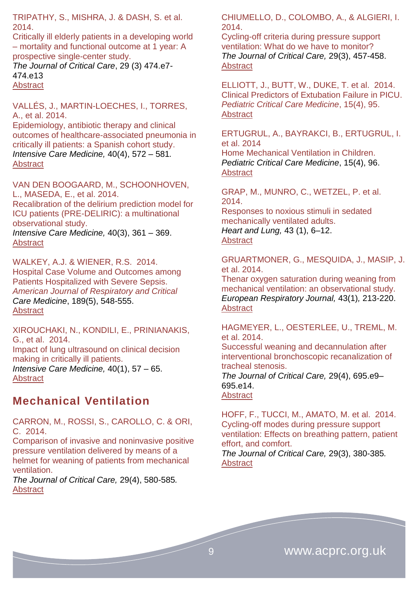TRIPATHY, S., MISHRA, J. & DASH, S. et al. 2014.

Critically ill elderly patients in a developing world – mortality and functional outcome at 1 year: A prospective single-center study.

*The Journal of Critical Care*, 29 (3) 474.e7- 474.e13 **[Abstract](http://www.jccjournal.org/article/S0883-9441(14)00011-2/abstract)** 

VALLÉS, J., MARTIN-LOECHES, I., TORRES, A., et al. 2014.

[Epidemiology, antibiotic therapy and clinical](http://icmjournal.esicm.org/journal/134/40/4/3239_10.1007_s00134-014-3239-2/2014/Epidemiology_antibiotic_therapy_and_clinical_outc.html)  [outcomes of healthcare-associated pneumonia in](http://icmjournal.esicm.org/journal/134/40/4/3239_10.1007_s00134-014-3239-2/2014/Epidemiology_antibiotic_therapy_and_clinical_outc.html)  [critically ill patients: a Spanish cohort study.](http://icmjournal.esicm.org/journal/134/40/4/3239_10.1007_s00134-014-3239-2/2014/Epidemiology_antibiotic_therapy_and_clinical_outc.html) *Intensive Care Medicine,* 40(4), 572 – 581*.* **[Abstract](http://icmjournal.esicm.org/journals/abstract.html?v=40&j=134&i=4&a=3239_10.1007_s00134-014-3239-2&doi=)** 

VAN DEN BOOGAARD, M., SCHOONHOVEN, L., MASEDA, E., et al. 2014. [Recalibration of the delirium prediction model for](http://icmjournal.esicm.org/journal/134/40/3/3202_10.1007_s00134-013-3202-7/2013/Recalibration_of_the_delirium_prediction_model_for.html)  [ICU patients \(PRE-DELIRIC\): a multinational](http://icmjournal.esicm.org/journal/134/40/3/3202_10.1007_s00134-013-3202-7/2013/Recalibration_of_the_delirium_prediction_model_for.html)  [observational study.](http://icmjournal.esicm.org/journal/134/40/3/3202_10.1007_s00134-013-3202-7/2013/Recalibration_of_the_delirium_prediction_model_for.html)

*Intensive Care Medicine,* 40(3), 361 – 369. **[Abstract](http://icmjournal.esicm.org/journals/abstract.html?v=40&j=134&i=3&a=3202_10.1007_s00134-013-3202-7&doi=)** 

WALKEY, A.J. & WIENER, R.S. 2014. Hospital Case Volume and Outcomes among Patients Hospitalized with Severe Sepsis. *American Journal of Respiratory and Critical Care Medicine*, 189(5), 548-555. [Abstract](http://www.atsjournals.org/doi/abs/10.1164/rccm.201311-1967OC#.VLZ9XSusV-t)

XIROUCHAKI, N., KONDILI, E., PRINIANAKIS, G., et al. 2014. [Impact of lung ultrasound on clinical decision](http://icmjournal.esicm.org/journal/134/40/1/3133_10.1007_s00134-013-3133-3/2013/Impact_of_lung_ultrasound_on_clinical_decision_mak.html)  [making in critically ill patients.](http://icmjournal.esicm.org/journal/134/40/1/3133_10.1007_s00134-013-3133-3/2013/Impact_of_lung_ultrasound_on_clinical_decision_mak.html) *Intensive Care Medicine,* 40(1), 57 – 65. **[Abstract](http://icmjournal.esicm.org/journals/abstract.html?v=40&j=134&i=1&a=3133_10.1007_s00134-013-3133-3&doi=)** 

### <span id="page-8-0"></span>**Mechanical Ventilation**

CARRON, M., ROSSI, S., CAROLLO, C. & ORI, C. 2014.

Comparison of invasive and noninvasive positive pressure ventilation delivered by means of a helmet for weaning of patients from mechanical ventilation.

*The Journal of Critical Care,* 29(4), 580-585*.*  [Abstract](http://www.jccjournal.org/article/S0883-9441(14)00135-X/abstract) 

CHIUMELLO, D., COLOMBO, A., & ALGIERI, I. 2014.

Cycling-off criteria during pressure support ventilation: What do we have to monitor? *The Journal of Critical Care,* 29(3), 457-458. **Abstract** 

ELLIOTT, J., BUTT, W., DUKE, T. et al. 2014. Clinical Predictors of Extubation Failure in PICU. *Pediatric Critical Care Medicine*, 15(4), 95. **[Abstract](http://journals.lww.com/pccmjournal/Fulltext/2014/05001/ABSTRACT_412___CLINICAL_PREDICTORS_OF_EXTUBATION.409.aspx)** 

ERTUGRUL, A., BAYRAKCI, B., ERTUGRUL, I. et al. 2014

Home Mechanical Ventilation in Children. *Pediatric Critical Care Medicine*, 15(4), 96. [Abstract](http://journals.lww.com/pccmjournal/Fulltext/2014/05001/ABSTRACT_418___HOME_MECHANICAL_VENTILATION_IN.415.aspx)

GRAP, M., MUNRO, C., WETZEL, P. et al. 2014.

Responses to noxious stimuli in sedated mechanically ventilated adults. *Heart and Lung,* 43 (1), 6–12. **[Abstract](http://www.heartandlung.org/article/S0147-9563(13)00365-8/abstract)** 

#### GRUARTMONER, G., MESQUIDA, J., MASIP, J. et al. 2014.

Thenar oxygen saturation during weaning from mechanical ventilation: an observational study. *European Respiratory Journal,* 43(1)*,* 213-220. [Abstract](http://erj.ersjournals.com/content/43/1/213.abstract)

HAGMEYER, L., OESTERLEE, U., TREML, M. et al. 2014.

Successful weaning and decannulation after interventional bronchoscopic recanalization of tracheal stenosis.

*The Journal of Critical Care,* 29(4), 695.e9– 695.e14. **[Abstract](http://www.jccjournal.org/article/S0883-9441(14)00123-3/abstract)** 

HOFF, F., TUCCI, M., AMATO, M. et al. 2014. Cycling-off modes during pressure support ventilation: Effects on breathing pattern, patient effort, and comfort.

*The Journal of Critical Care,* 29(3), 380-385*.* [Abstract](http://www.jccjournal.org/article/S0883-9441(14)00043-4/abstract)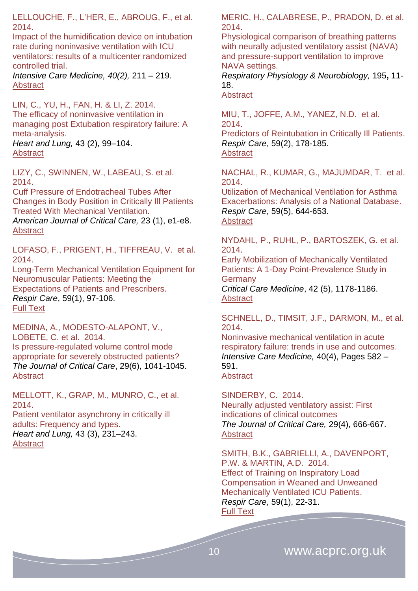LELLOUCHE, F., L'HER, E., ABROUG, F., et al. 2014.

[Impact of the humidification device on intubation](http://icmjournal.esicm.org/journal/134/40/2/3145_10.1007_s00134-013-3145-z/2013/Impact_of_the_humidification_device_on_intubation_.html)  [rate during noninvasive ventilation with ICU](http://icmjournal.esicm.org/journal/134/40/2/3145_10.1007_s00134-013-3145-z/2013/Impact_of_the_humidification_device_on_intubation_.html)  [ventilators: results of a multicenter randomized](http://icmjournal.esicm.org/journal/134/40/2/3145_10.1007_s00134-013-3145-z/2013/Impact_of_the_humidification_device_on_intubation_.html)  [controlled trial.](http://icmjournal.esicm.org/journal/134/40/2/3145_10.1007_s00134-013-3145-z/2013/Impact_of_the_humidification_device_on_intubation_.html)

*Intensive Care Medicine, 40(2),* 211 – 219. [Abstract](http://icmjournal.esicm.org/journals/abstract.html?v=40&j=134&i=2&a=3145_10.1007_s00134-013-3145-z&doi=)

LIN, C., YU, H., FAN, H. & LI, Z. 2014. The efficacy of noninvasive ventilation in managing post Extubation respiratory failure: A meta-analysis. *Heart and Lung,* 43 (2), 99–104. **[Abstract](http://www.heartandlung.org/article/S0147-9563(14)00006-5/abstract)** 

LIZY, C., SWINNEN, W., LABEAU, S. et al. 2014.

Cuff Pressure of Endotracheal Tubes After Changes in Body Position in Critically Ill Patients Treated With Mechanical Ventilation.

*American Journal of Critical Care,* 23 (1), e1-e8. **[Abstract](http://ajcc.aacnjournals.org/content/23/1/e1.abstract)** 

LOFASO, F., PRIGENT, H., TIFFREAU, V. et al. 2014.

Long-Term Mechanical Ventilation Equipment for Neuromuscular Patients: Meeting the Expectations of Patients and Prescribers. *Respir Care*, 59(1), 97-106. [Full Text](http://rc.rcjournal.com/content/59/1/97.full)

MEDINA, A., MODESTO-ALAPONT, V., LOBETE, C. et al. 2014. Is pressure-regulated volume control mode appropriate for severely obstructed patients? *The Journal of Critical Care*, 29(6), 1041-1045. **[Abstract](http://www.jccjournal.org/article/S0883-9441(14)00281-0/abstract)** 

MELLOTT, K., GRAP, M., MUNRO, C., et al. 2014.

Patient ventilator asynchrony in critically ill adults: Frequency and types. *Heart and Lung,* 43 (3), 231–243. **[Abstract](http://www.heartandlung.org/article/S0147-9563(14)00048-X/abstract)** 

MERIC, H., CALABRESE, P., PRADON, D. et al. 2014.

Physiological comparison of breathing patterns with neurally adjusted ventilatory assist (NAVA) and pressure-support ventilation to improve NAVA settings.

*Respiratory Physiology & Neurobiology,* 195**,** 11- 18.

[Abstract](http://www.sciencedirect.com/science/article/pii/S1569904814000330)

MIU, T., JOFFE, A.M., YANEZ, N.D. et al. 2014.

Predictors of Reintubation in Critically Ill Patients. *Respir Care*, 59(2), 178-185. [Abstract](http://rc.rcjournal.com/content/59/2/178.abstract)

NACHAL, R., KUMAR, G., MAJUMDAR, T. et al. 2014.

Utilization of Mechanical Ventilation for Asthma Exacerbations: Analysis of a National Database. *Respir Care*, 59(5), 644-653. **[Abstract](http://rc.rcjournal.com/content/59/5/644.abstract)** 

NYDAHL, P., RUHL, P., BARTOSZEK, G. et al. 2014.

Early Mobilization of Mechanically Ventilated Patients: A 1-Day Point-Prevalence Study in **Germany** 

*Critical Care Medicine*, 42 (5), 1178-1186. **[Abstract](file:///C:/Users/Simon/AppData/Roaming/Microsoft/Word/ournals.lww.com/ccmjournal/Abstract/2014/05000/Early_Mobilization_of_Mechanically_Ventilated.19.aspx)** 

SCHNELL, D., TIMSIT, J.F., DARMON, M., et al. 2014.

[Noninvasive mechanical ventilation in acute](http://icmjournal.esicm.org/journal/134/40/4/3222_10.1007_s00134-014-3222-y/2014/Noninvasive_mechanical_ventilation_in_acute_respir.html)  [respiratory failure: trends in use and outcomes.](http://icmjournal.esicm.org/journal/134/40/4/3222_10.1007_s00134-014-3222-y/2014/Noninvasive_mechanical_ventilation_in_acute_respir.html) *Intensive Care Medicine,* 40(4), Pages 582 – 591. **[Abstract](http://icmjournal.esicm.org/journals/abstract.html?v=40&j=134&i=4&a=3222_10.1007_s00134-014-3222-y&doi=)** 

SINDERBY, C. 2014. Neurally adjusted ventilatory assist: First indications of clinical outcomes *The Journal of Critical Care,* 29(4), 666-667. **[Abstract](http://www.jccjournal.org/article/S0883-9441(14)00132-4/abstract)** 

SMITH, B.K., GABRIELLI, A., DAVENPORT, P.W. & MARTIN, A.D. 2014. Effect of Training on Inspiratory Load Compensation in Weaned and Unweaned Mechanically Ventilated ICU Patients. *Respir Care*, 59(1), 22-31. [Full Text](http://rc.rcjournal.com/content/59/1/22.full)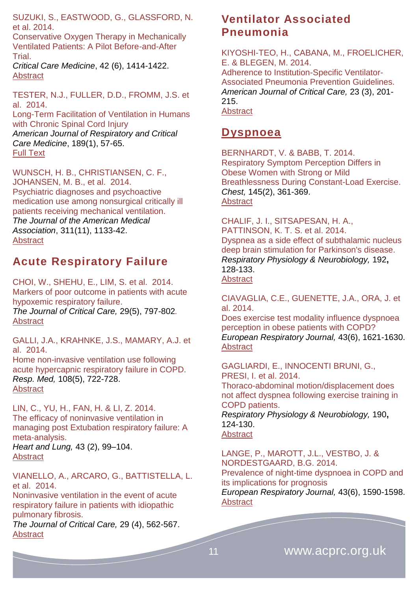SUZUKI, S., EASTWOOD, G., GLASSFORD, N. et al. 2014.

Conservative Oxygen Therapy in Mechanically Ventilated Patients: A Pilot Before-and-After **Trial** 

*Critical Care Medicine*, 42 (6), 1414-1422. [Abstract](file:///C:/Users/Simon/AppData/Roaming/Microsoft/Word/ournals.lww.com/ccmjournal/Abstract/2014/06000/Conservative_Oxygen_Therapy_in_Mechanically.13.aspx)

TESTER, N.J., FULLER, D.D., FROMM, J.S. et al. 2014.

Long-Term Facilitation of Ventilation in Humans with Chronic Spinal Cord Injury

*American Journal of Respiratory and Critical Care Medicine*, 189(1), 57-65. [Full Text](http://www.atsjournals.org/doi/full/10.1164/rccm.201305-0848OC#.VLZqhiusV-s)

WUNSCH, H. B., CHRISTIANSEN. C. F., JOHANSEN, M. B., et al. 2014. Psychiatric diagnoses and psychoactive medication use among nonsurgical critically ill patients receiving mechanical ventilation. *The Journal of the American Medical Association*, 311(11), 1133-42. **[Abstract](http://www.ncbi.nlm.nih.gov/pubmed/24643603)** 

### <span id="page-10-0"></span>**Acute Respiratory Failure**

CHOI, W., SHEHU, E., LIM, S. et al. 2014. Markers of poor outcome in patients with acute hypoxemic respiratory failure. *The Journal of Critical Care,* 29(5), 797-802*.*  **[Abstract](http://www.jccjournal.org/article/S0883-9441(14)00218-4/abstract)** 

GALLI, J.A., KRAHNKE, J.S., MAMARY, A.J. et al. 2014.

Home non-invasive ventilation use following acute hypercapnic respiratory failure in COPD. *Resp. Med,* 108(5), 722-728. **[Abstract](http://www.resmedjournal.com/article/S0954-6111%2814%2900114-0/abstract)** 

LIN, C., YU, H., FAN, H. & LI, Z. 2014. The efficacy of noninvasive ventilation in managing post Extubation respiratory failure: A meta-analysis.

*Heart and Lung,* 43 (2), 99–104. [Abstract](http://www.heartandlung.org/article/S0147-9563(14)00006-5/abstract)

VIANELLO, A., ARCARO, G., BATTISTELLA, L. et al. 2014.

Noninvasive ventilation in the event of acute respiratory failure in patients with idiopathic pulmonary fibrosis.

*The Journal of Critical Care,* 29 (4), 562-567. **[Abstract](http://www.jccjournal.org/article/S0883-9441(14)00119-1/abstract)** 

#### <span id="page-10-1"></span>**Ventilator Associated Pneumonia**

KIYOSHI-TEO, H., CABANA, M., FROELICHER, E. & BLEGEN, M. 2014. Adherence to Institution-Specific Ventilator-Associated Pneumonia Prevention Guidelines. *American Journal of Critical Care,* 23 (3), 201- 215. [Abstract](http://ajcc.aacnjournals.org/content/23/3/201.abstract)

#### <span id="page-10-2"></span>**Dyspnoea**

BERNHARDT, V. & BABB, T. 2014. Respiratory Symptom Perception Differs in Obese Women with Strong or Mild Breathlessness During Constant-Load Exercise. *Chest,* 145(2), 361-369. [Abstract](http://journal.publications.chestnet.org/article.aspx?articleID=1733218)

CHALIF, J. I., SITSAPESAN, H. A., PATTINSON, K. T. S. et al. 2014. Dyspnea as a side effect of subthalamic nucleus deep brain stimulation for Parkinson's disease. *Respiratory Physiology & Neurobiology,* 192**,** 128-133. **[Abstract](http://www.ncbi.nlm.nih.gov/pubmed/?term=Dyspnea+as+a+side+effect+of+subthalamic+nucleus+deep+brain+stimulation+for+Parkinson%27s+disease)** 

CIAVAGLIA, C.E., GUENETTE, J.A., ORA, J. et al. 2014.

Does exercise test modality influence dyspnoea perception in obese patients with COPD? *European Respiratory Journal,* 43(6), 1621-1630. [Abstract](http://erj.ersjournals.com/content/43/6/1621.abstract)

GAGLIARDI, E., INNOCENTI BRUNI, G., PRESI, I. et al. 2014. Thoraco-abdominal motion/displacement does not affect dyspnea following exercise training in COPD patients. *Respiratory Physiology & Neurobiology,* 190**,** 124-130. **[Abstract](http://www.ncbi.nlm.nih.gov/pubmed/?term=Thoraco-abdominal+motion%2Fdisplacement+does+not+affect+dyspnea+following+exercise+training+in+COPD+patients.)** 

LANGE, P., MAROTT, J.L., VESTBO, J. & NORDESTGAARD, B.G. 2014. Prevalence of night-time dyspnoea in COPD and its implications for prognosis *European Respiratory Journal,* 43(6), 1590-1598. [Abstract](http://erj.ersjournals.com/content/43/6/1590.abstract)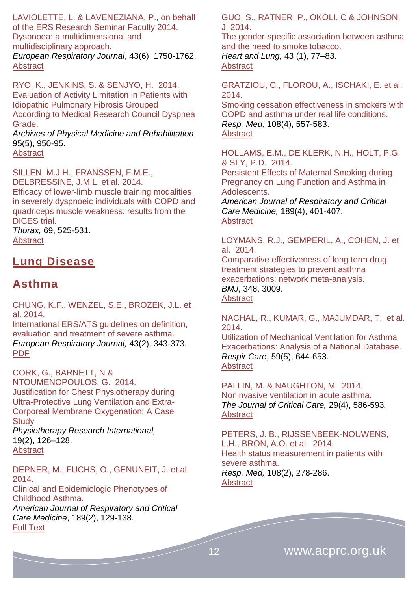LAVIOLETTE, L. & LAVENEZIANA, P., on behalf of the ERS Research Seminar Faculty 2014. Dyspnoea: a multidimensional and multidisciplinary approach.

*European Respiratory Journal*, 43(6), 1750-1762. **[Abstract](http://erj.ersjournals.com/content/43/6/1750.abstract)** 

RYO, K., JENKINS, S. & SENJYO, H. 2014. Evaluation of Activity Limitation in Patients with Idiopathic Pulmonary Fibrosis Grouped According to Medical Research Council Dyspnea Grade.

*Archives of Physical Medicine and Rehabilitation*, 95(5), 950-95.

[Abstract](http://www.archives-pmr.org/article/S0003-9993(14)00071-9/abstract)

SILLEN, M.J.H., FRANSSEN, F.M.E., DELBRESSINE, J.M.L. et al. 2014. Efficacy of lower-limb muscle training modalities in severely dyspnoeic individuals with COPD and quadriceps muscle weakness: results from the DICES trial. *Thorax,* 69, 525-531.

**[Abstract](http://www.thorax.bmj.com/content/69/6/525.abtract)** 

#### <span id="page-11-0"></span>**Lung Disease**

#### <span id="page-11-1"></span>**Asthma**

CHUNG, K.F., WENZEL, S.E., BROZEK, J.L. et al. 2014.

International ERS/ATS guidelines on definition, evaluation and treatment of severe asthma. *European Respiratory Journal,* 43(2), 343-373. [PDF](http://erj.ersjournals.com/content/43/2/343.full.pdf+html)

CORK, G., BARNETT, N & NTOUMENOPOULOS, G. 2014. Justification for Chest Physiotherapy during Ultra-Protective Lung Ventilation and Extra-Corporeal Membrane Oxygenation: A Case **Study** 

*Physiotherapy Research International,* 19(2), 126–128. **[Abstract](http://www.ncbi.nlm.nih.gov/pubmed/?term=Justification+for+Chest+Physiotherapy+during+Ultra-Protective+Lung+Ventilation+and+Extra-Corporeal+Membrane+Oxygenation%3A+A+Case+Study)** 

DEPNER, M., FUCHS, O., GENUNEIT, J. et al. 2014.

Clinical and Epidemiologic Phenotypes of Childhood Asthma. *American Journal of Respiratory and Critical Care Medicine*, 189(2), 129-138. [Full Text](http://www.atsjournals.org/doi/full/10.1164/rccm.201307-1198OC#.VLZq6CusV-s)

GUO, S., RATNER, P., OKOLI, C & JOHNSON, J. 2014.

The gender-specific association between asthma and the need to smoke tobacco. *Heart and Lung,* 43 (1), 77–83.

#### **[Abstract](http://www.heartandlung.org/article/S0147-9563(13)00310-5/abstract)**

GRATZIOU, C., FLOROU, A., ISCHAKI, E. et al. 2014.

Smoking cessation effectiveness in smokers with COPD and asthma under real life conditions. *Resp. Med,* 108(4), 557-583. **[Abstract](http://www.resmedjournal.com/article/S0954-6111%2814%2900030-4/abstract)** 

HOLLAMS, E.M., DE KLERK, N.H., HOLT, P.G. & SLY, P.D. 2014.

Persistent Effects of Maternal Smoking during Pregnancy on Lung Function and Asthma in Adolescents.

*American Journal of Respiratory and Critical Care Medicine,* 189(4), 401-407. **[Abstract](http://www.atsjournals.org/doi/abs/10.1164/rccm.201302-0323OC#.VLZ8eiusV-s)** 

LOYMANS, R.J., GEMPERIL, A., COHEN, J. et al. 2014.

Comparative effectiveness of long term drug treatment strategies to prevent asthma exacerbations: network meta-analysis. *BMJ*, 348, 3009. [Abstract](http://www.ncbi.nlm.nih.gov/pubmed/?term=Comparative+effectiveness+of+long+term+drug+treatment+strategies+to+prevent+asthma+exacerbations%3A+network+meta-analysis+BMJ+2014%3B+348+doi%3A+http%3A%2F%2Fdx.doi.org%2F10.1136%2Fbmj.g3009+(Published+13+M)

NACHAL, R., KUMAR, G., MAJUMDAR, T. et al. 2014.

Utilization of Mechanical Ventilation for Asthma Exacerbations: Analysis of a National Database. *Respir Care*, 59(5), 644-653. **[Abstract](http://rc.rcjournal.com/content/59/5/644.abstract)** 

PALLIN, M. & NAUGHTON, M. 2014. Noninvasive ventilation in acute asthma. *The Journal of Critical Care,* 29(4), 586-593*.*  **[Abstract](http://www.jccjournal.org/article/S0883-9441(14)00088-4/abstract)** 

PETERS, J. B., RIJSSENBEEK-NOUWENS, L.H., BRON, A.O. et al. 2014. Health status measurement in patients with severe asthma. *Resp. Med,* 108(2), 278-286. **[Abstract](http://www.resmedjournal.com/article/S0954-6111%2813%2900474-5/abstract)** 

12 **www.acprc.org.uk**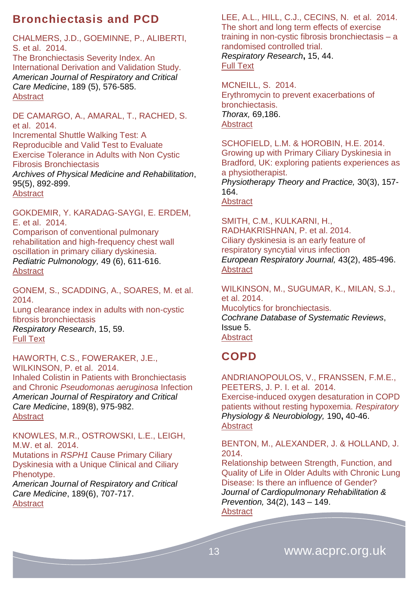### <span id="page-12-0"></span>**Bronchiectasis and PCD**

CHALMERS, J.D., GOEMINNE, P., ALIBERTI, S. et al. 2014.

The Bronchiectasis Severity Index. An International Derivation and Validation Study. *American Journal of Respiratory and Critical Care Medicine*, 189 (5), 576-585. **[Abstract](http://www.atsjournals.org/doi/abs/10.1164/rccm.201309-1575OC#.VLZ9liusV-s)** 

DE CAMARGO, A., AMARAL, T., RACHED, S. et al. 2014.

Incremental Shuttle Walking Test: A Reproducible and Valid Test to Evaluate Exercise Tolerance in Adults with Non Cystic Fibrosis Bronchiectasis *Archives of Physical Medicine and Rehabilitation*,

95(5), 892-899. **[Abstract](http://www.archives-pmr.org/article/S0003-9993(13)01239-2/abstract)** 

GOKDEMIR, Y. KARADAG-SAYGI, E. ERDEM, E. et al. 2014.

Comparison of conventional pulmonary rehabilitation and high-frequency chest wall oscillation in primary ciliary dyskinesia. *Pediatric Pulmonology,* 49 (6), 611-616. **[Abstract](http://onlinelibrary.wiley.com/doi/10.1002/ppul.22861/abstract)** 

GONEM, S., SCADDING, A., SOARES, M. et al. 2014.

Lung clearance index in adults with non-cystic fibrosis bronchiectasis

*Respiratory Research*, 15, 59. [Full Text](http://www.respiratory-research.com/content/15/1/59)

HAWORTH, C.S., FOWERAKER, J.E., WILKINSON, P. et al. 2014. Inhaled Colistin in Patients with Bronchiectasis and Chronic *Pseudomonas aeruginosa* Infection *American Journal of Respiratory and Critical Care Medicine*, 189(8), 975-982. [Abstract](http://www.atsjournals.org/doi/abs/10.1164/rccm.201312-2208OC#.VLZ_ZCusV-s)

KNOWLES, M.R., OSTROWSKI, L.E., LEIGH, M.W. et al. 2014.

Mutations in *RSPH1* Cause Primary Ciliary Dyskinesia with a Unique Clinical and Ciliary Phenotype.

*American Journal of Respiratory and Critical Care Medicine*, 189(6), 707-717. **[Abstract](http://www.atsjournals.org/doi/abs/10.1164/rccm.201311-2047OC#.VLZ-MiusV-t)** 

LEE, A.L., HILL, C.J., CECINS, N. et al. 2014. The short and long term effects of exercise training in non-cystic fibrosis bronchiectasis – a randomised controlled trial. *Respiratory Research***,** 15, 44. [Full Text](http://www.respiratory-research.com/content/15/1/44) 

MCNEILL, S. 2014. Erythromycin to prevent exacerbations of bronchiectasis. *Thorax,* 69,186. [Abstract](http://www.thorax.bmj.com/69/2/186.extract)

SCHOFIELD, L.M. & HOROBIN, H.E. 2014. Growing up with Primary Ciliary Dyskinesia in Bradford, UK: exploring patients experiences as a physiotherapist.

*Physiotherapy Theory and Practice,* 30(3), 157- 164.

[Abstract](http://www.informahealthcare.com/doi/abs/10.3109/09593985.2013.845863)

SMITH, C.M., KULKARNI, H., RADHAKRISHNAN, P. et al. 2014. Ciliary dyskinesia is an early feature of respiratory syncytial virus infection *European Respiratory Journal,* 43(2), 485-496. **[Abstract](http://erj.ersjournals.com/content/43/2/485.abstract)** 

WILKINSON, M., SUGUMAR, K., MILAN, S.J., et al. 2014. Mucolytics for bronchiectasis. *Cochrane Database of Systematic Reviews*, Issue 5. **[Abstract](http://onlinelibrary.wiley.com/doi/10.1002/14651858.CD001289.pub2/abstract)** 

# <span id="page-12-1"></span>**COPD**

ANDRIANOPOULOS, V., FRANSSEN, F.M.E., PEETERS, J. P. I. et al. 2014.

Exercise-induced oxygen desaturation in COPD patients without resting hypoxemia. *Respiratory Physiology & Neurobiology,* 190**,** 40-46. **[Abstract](http://www.ncbi.nlm.nih.gov/pubmed/24121092)** 

BENTON, M., ALEXANDER, J. & HOLLAND, J. 2014.

Relationship between Strength, Function, and Quality of Life in Older Adults with Chronic Lung Disease: Is there an influence of Gender? *Journal of Cardiopulmonary Rehabilitation & Prevention,* 34(2), 143 – 149. **[Abstract](http://journals.lww.com/jcrjournal/Abstract/2014/03000/Relationship_Between_Strength,_Function,_and.8.aspx)**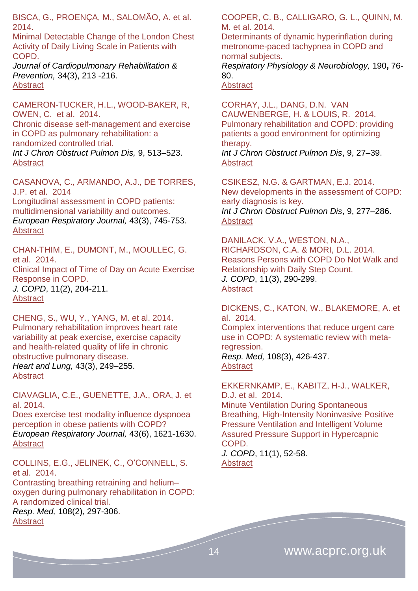BISCA, G., PROENÇA, M., SALOMÃO, A. et al. 2014.

Minimal Detectable Change of the London Chest Activity of Daily Living Scale in Patients with COPD.

*Journal of Cardiopulmonary Rehabilitation & Prevention,* 34(3), 213 -216. [Abstract](http://journals.lww.com/jcrjournal/Abstract/2014/05000/Minimal_Detectable_Change_of_the_London_Chest.8.aspx)

CAMERON-TUCKER, H.L., WOOD-BAKER, R, OWEN, C. et al. 2014.

Chronic disease self-management and exercise in COPD as pulmonary rehabilitation: a randomized controlled trial.

*Int J Chron Obstruct Pulmon Dis,* 9, 513–523. **[Abstract](http://www.ncbi.nlm.nih.gov/pmc/articles/PMC4037329/)** 

CASANOVA, C., ARMANDO, A.J., DE TORRES, J.P. et al. 2014

Longitudinal assessment in COPD patients: multidimensional variability and outcomes. *European Respiratory Journal,* 43(3), 745-753. **[Abstract](http://erj.ersjournals.com/content/43/3/745.abstract)** 

CHAN-THIM, E., DUMONT, M., MOULLEC, G. et al. 2014. Clinical Impact of Time of Day on Acute Exercise Response in COPD. *J. COPD*, 11(2), 204-211.

**[Abstract](http://informahealthcare.com/doi/abs/10.3109/15412555.2013.836167)** 

CHENG, S., WU, Y., YANG, M. et al. 2014. Pulmonary rehabilitation improves heart rate variability at peak exercise, exercise capacity and health-related quality of life in chronic obstructive pulmonary disease.

*Heart and Lung,* 43(3), 249–255. **[Abstract](http://www.heartandlung.org/article/S0147-9563(14)00071-5/abstract)** 

CIAVAGLIA, C.E., GUENETTE, J.A., ORA, J. et al. 2014.

Does exercise test modality influence dyspnoea perception in obese patients with COPD? *European Respiratory Journal,* 43(6), 1621-1630. **[Abstract](http://erj.ersjournals.com/content/43/6/1621.abstract)** 

COLLINS, E.G., JELINEK, C., O'CONNELL, S. et al. 2014.

Contrasting breathing retraining and helium– oxygen during pulmonary rehabilitation in COPD: A randomized clinical trial.

*Resp. Med,* 108(2), 297-306. [Abstract](http://www.resmedjournal.com/article/S0954-6111%2813%2900438-1/abstract)

COOPER, C. B., CALLIGARO, G. L., QUINN, M. M. et al. 2014.

Determinants of dynamic hyperinflation during metronome-paced tachypnea in COPD and normal subjects.

*Respiratory Physiology & Neurobiology,* 190**,** 76- 80.

[Abstract](http://www.ncbi.nlm.nih.gov/pubmed/?term=Determinants+of+dynamic+hyperinflation+during+metronome-paced+tachypnea+in+COPD+and+normal+subjects)

CORHAY, J.L., DANG, D.N. VAN CAUWENBERGE, H. & LOUIS, R. 2014. Pulmonary rehabilitation and COPD: providing patients a good environment for optimizing therapy. *Int J Chron Obstruct Pulmon Dis*, 9, 27–39. [Abstract](http://www.ncbi.nlm.nih.gov/pmc/articles/PMC3869834/)

CSIKESZ, N.G. & GARTMAN, E.J. 2014. New developments in the assessment of COPD: early diagnosis is key. *Int J Chron Obstruct Pulmon Dis*, 9, 277–286. **[Abstract](http://www.ncbi.nlm.nih.gov/pmc/articles/PMC3942111/)** 

DANILACK, V.A., WESTON, N.A., RICHARDSON, C.A. & MORI, D.L. 2014. Reasons Persons with COPD Do Not Walk and Relationship with Daily Step Count. *J. COPD*, 11(3), 290-299. **[Abstract](file:///C:/Users/Simon/AppData/Roaming/Microsoft/Word/informahealthcare.com/doi/abs/10.3109/15412555.2013.841670)** 

DICKENS, C., KATON, W., BLAKEMORE, A. et al. 2014.

Complex interventions that reduce urgent care use in COPD: A systematic review with metaregression.

*Resp. Med,* 108(3), 426-437. [Abstract](http://www.resmedjournal.com/article/S0954-6111%2813%2900185-6/abstract)

EKKERNKAMP, E., KABITZ, H-J., WALKER, D.J. et al. 2014.

Minute Ventilation During Spontaneous Breathing, High-Intensity Noninvasive Positive Pressure Ventilation and Intelligent Volume Assured Pressure Support in Hypercapnic COPD.

*J. COPD*, 11(1), 52-58. **[Abstract](http://informahealthcare.com/doi/abs/10.3109/15412555.2013.829437)**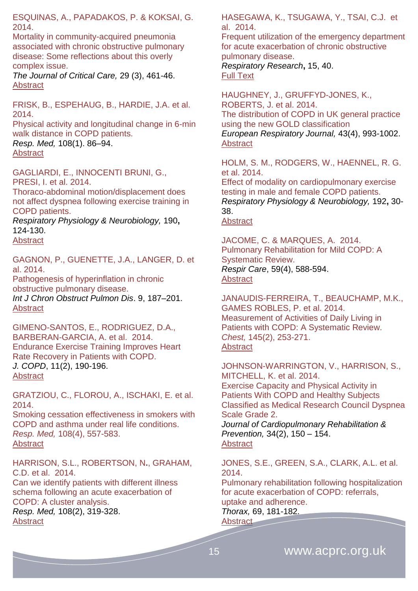ESQUINAS, A., PAPADAKOS, P. & KOKSAI, G. 2014.

Mortality in community-acquired pneumonia associated with chronic obstructive pulmonary disease: Some reflections about this overly complex issue.

*The Journal of Critical Care,* 29 (3), 461-46. [Abstract](http://www.jccjournal.org/article/S0883-9441(14)00050-1/abstract)

FRISK, B., ESPEHAUG, B., HARDIE, J.A. et al. 2014.

Physical activity and longitudinal change in 6-min walk distance in COPD patients. *Resp. Med,* 108(1). 86–94. **[Abstract](http://www.resmedjournal.com/article/S0954-6111%2813%2900369-7/abstract)** 

GAGLIARDI, E., INNOCENTI BRUNI, G., PRESI, I. et al. 2014.

Thoraco-abdominal motion/displacement does not affect dyspnea following exercise training in COPD patients.

*Respiratory Physiology & Neurobiology,* 190**,** 124-130.

**[Abstract](http://www.ncbi.nlm.nih.gov/pubmed/?term=Thoraco-abdominal+motion%2Fdisplacement+does+not+affect+dyspnea+following+exercise+training+in+COPD+patients.)** 

GAGNON, P., GUENETTE, J.A., LANGER, D. et al. 2014.

Pathogenesis of hyperinflation in chronic obstructive pulmonary disease. *Int J Chron Obstruct Pulmon Dis*. 9, 187–201. **[Abstract](http://www.ncbi.nlm.nih.gov/pmc/articles/PMC3933347/)** 

GIMENO-SANTOS, E., RODRIGUEZ, D.A., BARBERAN-GARCIA, A. et al. 2014. Endurance Exercise Training Improves Heart Rate Recovery in Patients with COPD. *J. COPD*, 11(2), 190-196. **[Abstract](http://informahealthcare.com/doi/abs/10.3109/15412555.2013.831401)** 

GRATZIOU, C., FLOROU, A., ISCHAKI, E. et al. 2014.

Smoking cessation effectiveness in smokers with COPD and asthma under real life conditions. *Resp. Med,* 108(4), 557-583. **[Abstract](http://www.resmedjournal.com/article/S0954-6111%2814%2900030-4/abstract)** 

HARRISON, S.L., ROBERTSON, N**.**, GRAHAM, C.D. et al. 2014.

Can we identify patients with different illness schema following an acute exacerbation of COPD: A cluster analysis.

*Resp. Med,* 108(2), 319-328. [Abstract](http://www.resmedjournal.com/article/S0954-6111%2813%2900431-9/abstract)

HASEGAWA, K., TSUGAWA, Y., TSAI, C.J. et al. 2014.

Frequent utilization of the emergency department for acute exacerbation of chronic obstructive pulmonary disease.

*Respiratory Research***,** 15, 40. [Full Text](http://www.respiratory-research.com/content/15/1/40)

HAUGHNEY, J., GRUFFYD-JONES, K., ROBERTS, J. et al. 2014. The distribution of COPD in UK general practice using the new GOLD classification *European Respiratory Journal,* 43(4), 993-1002. **[Abstract](http://erj.ersjournals.com/content/43/4/993.abstract)** 

HOLM, S. M., RODGERS, W., HAENNEL, R. G. et al. 2014.

Effect of modality on cardiopulmonary exercise testing in male and female COPD patients. *Respiratory Physiology & Neurobiology,* 192**,** 30- 38.

**[Abstract](http://www.ncbi.nlm.nih.gov/pubmed/24316218)** 

JACOME, C. & MARQUES, A. 2014. Pulmonary Rehabilitation for Mild COPD: A Systematic Review. *Respir Care*, 59(4), 588-594. **[Abstract](http://rc.rcjournal.com/content/59/4/588.abstract)** 

JANAUDIS-FERREIRA, T., BEAUCHAMP, M.K., GAMES ROBLES, P. et al. 2014. Measurement of Activities of Daily Living in Patients with COPD: A Systematic Review. *Chest,* 145(2), 253-271. **[Abstract](http://journal.publications.chestnet.org/article.aspx?articleID=1687332)** 

JOHNSON-WARRINGTON, V., HARRISON, S., MITCHELL, K. et al. 2014. Exercise Capacity and Physical Activity in Patients With COPD and Healthy Subjects Classified as Medical Research Council Dyspnea Scale Grade 2. *Journal of Cardiopulmonary Rehabilitation & Prevention,* 34(2), 150 – 154. **[Abstract](http://journals.lww.com/jcrjournal/Abstract/2014/03000/Exercise_Capacity_and_Physical_Activity_in.9.aspx)** 

JONES, S.E., GREEN, S.A., CLARK, A.L. et al. 2014.

Pulmonary rehabilitation following hospitalization for acute exacerbation of COPD: referrals, uptake and adherence.

*Thorax,* 69, 181-182.

**[Abstract](http://www.thorax.bmj.com/content/69/2/181.abstract)**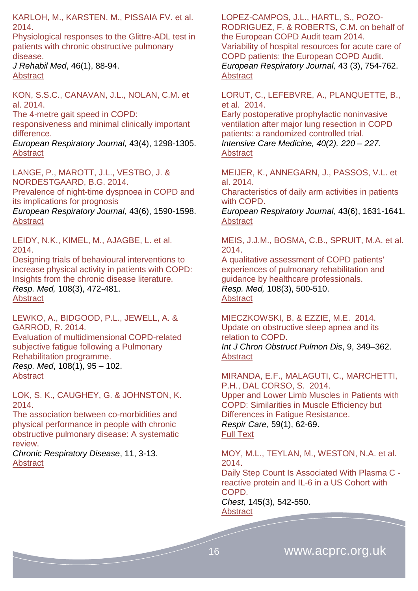KARLOH, M., KARSTEN, M., PISSAIA FV. et al. 2014.

Physiological responses to the Glittre-ADL test in patients with chronic obstructive pulmonary disease.

*J Rehabil Med*, 46(1), 88-94. [Abstract](http://www.ncbi.nlm.nih.gov/pubmed?cmd=search&term=10.2340%2F16501977-1217&dispmax=50)

KON, S.S.C., CANAVAN, J.L., NOLAN, C.M. et al. 2014.

The 4-metre gait speed in COPD: responsiveness and minimal clinically important difference.

*European Respiratory Journal,* 43(4), 1298-1305. [Abstract](http://erj.ersjournals.com/content/43/5/1298.abstract)

LANGE, P., MAROTT, J.L., VESTBO, J. & NORDESTGAARD, B.G. 2014. Prevalence of night-time dyspnoea in COPD and its implications for prognosis *European Respiratory Journal,* 43(6), 1590-1598. **[Abstract](http://erj.ersjournals.com/content/43/6/1590.abstract)** 

LEIDY, N.K., KIMEL, M., AJAGBE, L. et al. 2014.

Designing trials of behavioural interventions to increase physical activity in patients with COPD: Insights from the chronic disease literature. *Resp. Med,* 108(3), 472-481. [Abstract](http://www.resmedjournal.com/article/S0954-6111%2813%2900452-6/abstract)

LEWKO, A., BIDGOOD, P.L., JEWELL, A. & GARROD, R. 2014. Evaluation of multidimensional COPD-related subjective fatigue following a Pulmonary Rehabilitation programme.

*Resp. Med*, 108(1), 95 – 102. [Abstract](http://www.resmedjournal.com/article/S0954-6111(13)00368-5/abstract)

LOK, S. K., CAUGHEY, G. & JOHNSTON, K. 2014.

The association between co-morbidities and physical performance in people with chronic obstructive pulmonary disease: A systematic review.

*Chronic Respiratory Disease*, 11, 3-13. **[Abstract](http://crd.sagepub.com/content/11/1/3.abstract)** 

LOPEZ-CAMPOS, J.L., HARTL, S., POZO-RODRIGUEZ, F. & ROBERTS, C.M. on behalf of the European COPD Audit team 2014. Variability of hospital resources for acute care of COPD patients: the European COPD Audit. *European Respiratory Journal,* 43 (3), 754-762. [Abstract](http://erj.ersjournals.com/content/43/3/754.abstract)

LORUT, C., LEFEBVRE, A., PLANQUETTE, B., et al. 2014.

[Early postoperative prophylactic noninvasive](http://icmjournal.esicm.org/journal/134/40/2/3150_10.1007_s00134-013-3150-2/2013/Early_postoperative_prophylactic_noninvasive_venti.html)  [ventilation after major lung resection in COPD](http://icmjournal.esicm.org/journal/134/40/2/3150_10.1007_s00134-013-3150-2/2013/Early_postoperative_prophylactic_noninvasive_venti.html)  [patients: a randomized controlled trial.](http://icmjournal.esicm.org/journal/134/40/2/3150_10.1007_s00134-013-3150-2/2013/Early_postoperative_prophylactic_noninvasive_venti.html) *Intensive Care Medicine, 40(2), 220 – 227.* [Abstract](http://icmjournal.esicm.org/journals/abstract.html?v=40&j=134&i=2&a=3150_10.1007_s00134-013-3150-2&doi=)

MEIJER, K., ANNEGARN, J., PASSOS, V.L. et al. 2014.

Characteristics of daily arm activities in patients with COPD.

*European Respiratory Journal*, 43(6), 1631-1641. **[Abstract](http://erj.ersjournals.com/content/43/6/1631.abstract)** 

MEIS, J.J.M., BOSMA, C.B., SPRUIT, M.A. et al. 2014.

A qualitative assessment of COPD patients' experiences of pulmonary rehabilitation and guidance by healthcare professionals. *Resp. Med,* 108(3), 500-510. **[Abstract](http://www.resmedjournal.com/article/S0954-6111%2813%2900442-3/abstract)** 

MIECZKOWSKI, B. & EZZIE, M.E. 2014. Update on obstructive sleep apnea and its relation to COPD. *Int J Chron Obstruct Pulmon Dis*, 9, 349–362. [Abstract](http://www.ncbi.nlm.nih.gov/pmc/articles/PMC3986113/)

MIRANDA, E.F., MALAGUTI, C., MARCHETTI, P.H., DAL CORSO, S. 2014.

Upper and Lower Limb Muscles in Patients with COPD: Similarities in Muscle Efficiency but Differences in Fatigue Resistance. *Respir Care*, 59(1), 62-69. [Full Text](http://rc.rcjournal.com/content/59/1/62.full)

MOY, M.L., TEYLAN, M., WESTON, N.A. et al. 2014.

Daily Step Count Is Associated With Plasma C reactive protein and IL-6 in a US Cohort with COPD.

*Chest,* 145(3), 542-550. **[Abstract](http://journal.publications.chestnet.org/article.aspx?articleID=1746169)**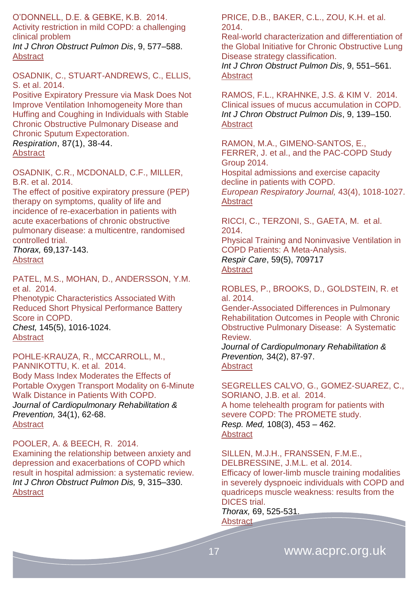O'DONNELL, D.E. & GEBKE, K.B. 2014.

Activity restriction in mild COPD: a challenging clinical problem *Int J Chron Obstruct Pulmon Dis*, 9, 577–588.

**[Abstract](http://www.ncbi.nlm.nih.gov/pmc/articles/PMC4051517/)** 

OSADNIK, C., STUART-ANDREWS, C., ELLIS, S. et al. 2014.

[Positive Expiratory Pressure via Mask Does Not](http://www.karger.com/Article/FullText/348546)  [Improve Ventilation Inhomogeneity More than](http://www.karger.com/Article/FullText/348546)  [Huffing and Coughing in Individuals with Stable](http://www.karger.com/Article/FullText/348546)  [Chronic Obstructive Pulmonary Disease and](http://www.karger.com/Article/FullText/348546)  [Chronic Sputum Expectoration.](http://www.karger.com/Article/FullText/348546)

*Respiration*, 87(1), 38-44. [Abstract](http://www.ncbi.nlm.nih.gov/pubmed/23752553)

OSADNIK, C.R., MCDONALD, C.F., MILLER, B.R. et al. 2014.

The effect of positive expiratory pressure (PEP) therapy on symptoms, quality of life and incidence of re-exacerbation in patients with acute exacerbations of chronic obstructive pulmonary disease: a multicentre, randomised controlled trial.

*Thorax,* 69,137-143. **[Abstract](http://www.thorax.bmj.com/content/69/2/137.abstract)** 

PATEL, M.S., MOHAN, D., ANDERSSON, Y.M. et al. 2014.

Phenotypic Characteristics Associated With Reduced Short Physical Performance Battery Score in COPD. *Chest,* 145(5), 1016-1024.

**[Abstract](http://journal.publications.chestnet.org/article.aspx?articleID=1789306)** 

POHLE-KRAUZA, R., MCCARROLL, M., PANNIKOTTU, K. et al. 2014. Body Mass Index Moderates the Effects of Portable Oxygen Transport Modality on 6-Minute Walk Distance in Patients With COPD. *Journal of Cardiopulmonary Rehabilitation & Prevention,* 34(1), 62-68. [Abstract](http://journals.lww.com/jcrjournal/Abstract/2014/01000/Body_Mass_Index_Moderates_the_Effects_of_Portable.9.aspx)

POOLER, A. & BEECH, R. 2014.

Examining the relationship between anxiety and depression and exacerbations of COPD which result in hospital admission: a systematic review. *Int J Chron Obstruct Pulmon Dis,* 9, 315–330. **[Abstract](http://www.ncbi.nlm.nih.gov/pmc/articles/PMC3974694/)** 

PRICE, D.B., BAKER, C.L., ZOU, K.H. et al. 2014.

Real-world characterization and differentiation of the Global Initiative for Chronic Obstructive Lung Disease strategy classification.

*Int J Chron Obstruct Pulmon Dis*, 9, 551–561. [Abstract](http://www.ncbi.nlm.nih.gov/pmc/articles/PMC4043424/)

RAMOS, F.L., KRAHNKE, J.S. & KIM V. 2014. Clinical issues of mucus accumulation in COPD. *Int J Chron Obstruct Pulmon Dis*, 9, 139–150. [Abstract](http://www.ncbi.nlm.nih.gov/pmc/articles/PMC3908831/)

RAMON, M.A., GIMENO-SANTOS, E., FERRER, J. et al., and the PAC-COPD Study Group 2014.

Hospital admissions and exercise capacity decline in patients with COPD. *European Respiratory Journal,* 43(4), 1018-1027. [Abstract](http://erj.ersjournals.com/content/43/4/1018.abstract)

RICCI, C., TERZONI, S., GAETA, M. et al. 2014. Physical Training and Noninvasive Ventilation in

COPD Patients: A Meta-Analysis. *Respir Care*, 59(5), 709717 [Abstract](http://rc.rcjournal.com/content/59/5/709.abstract)

ROBLES, P., BROOKS, D., GOLDSTEIN, R. et al. 2014.

Gender-Associated Differences in Pulmonary Rehabilitation Outcomes in People with Chronic Obstructive Pulmonary Disease: A Systematic Review.

*Journal of Cardiopulmonary Rehabilitation & Prevention,* 34(2), 87-97. **[Abstract](http://journals.lww.com/jcrjournal/Fulltext/2014/03000/Gender_Associated_Differences_in_Pulmonary.1.aspx)** 

SEGRELLES CALVO, G., GOMEZ-SUAREZ, C., SORIANO, J.B. et al. 2014.

A home telehealth program for patients with severe COPD: The PROMETE study. *Resp. Med,* 108(3), 453 – 462. **[Abstract](http://www.resmedjournal.com/article/S0954-6111%2813%2900489-7/abstract)** 

SILLEN, M.J.H., FRANSSEN, F.M.E.,

DELBRESSINE, J.M.L. et al. 2014. Efficacy of lower-limb muscle training modalities in severely dyspnoeic individuals with COPD and quadriceps muscle weakness: results from the DICES trial.

*Thorax,* 69, 525-531. [Abstract](http://www.thorax.bmj.com/content/69/6/525.abtract)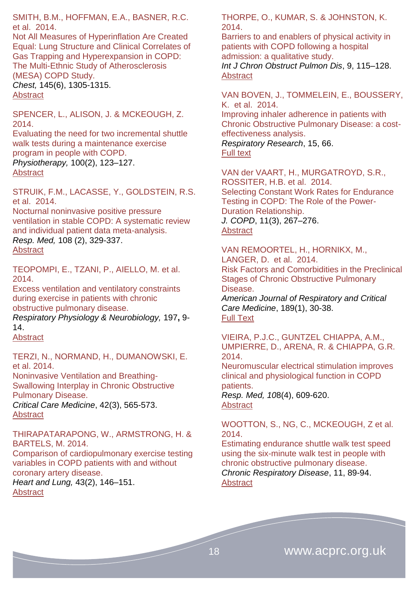SMITH, B.M., HOFFMAN, E.A., BASNER, R.C. et al. 2014.

Not All Measures of Hyperinflation Are Created Equal: Lung Structure and Clinical Correlates of Gas Trapping and Hyperexpansion in COPD: The Multi-Ethnic Study of Atherosclerosis (MESA) COPD Study. *Chest,* 145(6), 1305-1315. [Abstract](file:///C:/Users/Simon/AppData/Roaming/Microsoft/Word/Not%20All%20Measures%20of%20Hyperinflation%20Are%20Created%20Equal:)

SPENCER, L., ALISON, J. & MCKEOUGH, Z. 2014.

Evaluating the need for two incremental shuttle walk tests during a maintenance exercise program in people with COPD. *Physiotherapy,* 100(2), 123–127. [Abstract](http://www.physiotherapyjournal.com/article/S0031-9406(13)00121-1/abstract)

STRUIK, F.M., LACASSE, Y., GOLDSTEIN, R.S. et al. 2014.

Nocturnal noninvasive positive pressure ventilation in stable COPD: A systematic review and individual patient data meta-analysis. *Resp. Med,* 108 (2), 329-337. **[Abstract](http://www.resmedjournal.com/article/S0954-6111%2813%2900417-4/abstract)** 

TEOPOMPI, E., TZANI, P., AIELLO, M. et al. 2014.

Excess ventilation and ventilatory constraints during exercise in patients with chronic obstructive pulmonary disease.

*Respiratory Physiology & Neurobiology,* 197**,** 9- 14.

[Abstract](http://www.ncbi.nlm.nih.gov/pubmed/?term=Excess+ventilation+and+ventilatory+constraints+during+exercise+in+patients+with+chronic+obstructive+pulmonary+disease.)

TERZI, N., NORMAND, H., DUMANOWSKI, E. et al. 2014.

Noninvasive Ventilation and Breathing-Swallowing Interplay in Chronic Obstructive Pulmonary Disease.

*Critical Care Medicine*, 42(3), 565-573. **[Abstract](http://journals.lww.com/ccmjournal/Abstract/2014/03000/Noninvasive_Ventilation_and_Breathing_Swallowing.9.aspx)** 

THIRAPATARAPONG, W., ARMSTRONG, H. & BARTELS, M. 2014.

Comparison of cardiopulmonary exercise testing variables in COPD patients with and without coronary artery disease.

*Heart and Lung,* 43(2), 146–151. **[Abstract](http://www.heartandlung.org/article/S0147-9563(14)00003-X/abstract)** 

THORPE, O., KUMAR, S. & JOHNSTON, K. 2014.

Barriers to and enablers of physical activity in patients with COPD following a hospital admission: a qualitative study.

*Int J Chron Obstruct Pulmon Dis*, 9, 115–128. [Abstract](http://www.ncbi.nlm.nih.gov/pmc/articles/PMC3904833/)

VAN BOVEN, J., TOMMELEIN, E., BOUSSERY, K. et al. 2014.

Improving inhaler adherence in patients with Chronic Obstructive Pulmonary Disease: a costeffectiveness analysis.

*Respiratory Research*, 15, 66. [Full](http://www.respiratory-research.com/content/15/1/66) text

VAN der VAART, H., MURGATROYD, S.R., ROSSITER, H.B. et al. 2014. Selecting Constant Work Rates for Endurance Testing in COPD: The Role of the Power-Duration Relationship. *J. COPD*, 11(3), 267–276. **[Abstract](http://informahealthcare.com/toc/cop/11/3)** 

VAN REMOORTEL, H., HORNIKX, M., LANGER, D. et al. 2014. Risk Factors and Comorbidities in the Preclinical Stages of Chronic Obstructive Pulmonary Disease. *American Journal of Respiratory and Critical Care Medicine*, 189(1), 30-38.

[Full Text](http://www.atsjournals.org/doi/full/10.1164/rccm.201307-1240OC#.VLZpLiusV-s)

VIEIRA, P.J.C., GUNTZEL CHIAPPA, A.M., UMPIERRE, D., ARENA, R. & CHIAPPA, G.R. 2014.

Neuromuscular electrical stimulation improves clinical and physiological function in COPD patients.

*Resp. Med, 10*8(4), 609-620. [Abstract](http://www.resmedjournal.com/article/S0954-6111%2813%2900499-X/abstract)

WOOTTON, S., NG, C., MCKEOUGH, Z et al. 2014.

Estimating endurance shuttle walk test speed using the six-minute walk test in people with chronic obstructive pulmonary disease. *Chronic Respiratory Disease*, 11, 89-94. **[Abstract](http://crd.sagepub.com/content/11/2/89.abstract)**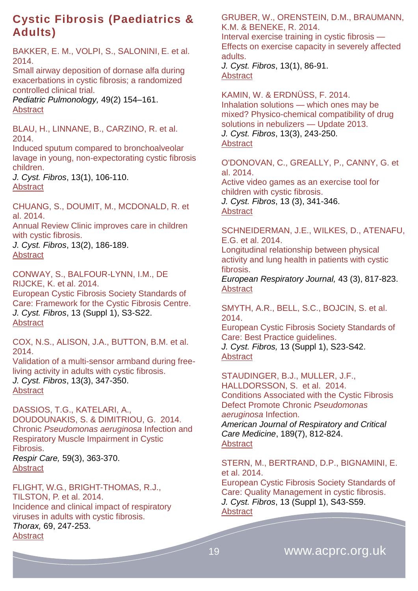# <span id="page-18-0"></span>**Cystic Fibrosis (Paediatrics & Adults)**

BAKKER, E. M., VOLPI, S., SALONINI, E. et al. 2014.

Small airway deposition of dornase alfa during exacerbations in cystic fibrosis; a randomized controlled clinical trial.

*Pediatric Pulmonology,* 49(2) 154–161. [Abstract](http://onlinelibrary.wiley.com/doi/10.1002/ppul.22800/abstract)

BLAU, H., LINNANE, B., CARZINO, R. et al. 2014.

[Induced sputum compared to bronchoalveolar](http://www.cysticfibrosisjournal.com/article/S1569-1993(13)00104-5/abstract)  [lavage in young, non-expectorating cystic fibrosis](http://www.cysticfibrosisjournal.com/article/S1569-1993(13)00104-5/abstract)  [children.](http://www.cysticfibrosisjournal.com/article/S1569-1993(13)00104-5/abstract)

*J. Cyst. Fibros*, 13(1), 106-110. **[Abstract](http://www.ncbi.nlm.nih.gov/pubmed/23806622)** 

CHUANG, S., DOUMIT, M., MCDONALD, R. et al. 2014.

[Annual Review Clinic improves care in children](http://www.cysticfibrosisjournal.com/article/S1569-1993(13)00151-3/abstract)  [with cystic fibrosis.](http://www.cysticfibrosisjournal.com/article/S1569-1993(13)00151-3/abstract)

*J. Cyst. Fibros*, 13(2), 186-189. [Abstract](http://www.ncbi.nlm.nih.gov/pubmed/24091167)

CONWAY, S., BALFOUR-LYNN, I.M., DE RIJCKE, K. et al. 2014. [European Cystic Fibrosis Society Standards of](http://www.cysticfibrosisjournal.com/article/S1569-1993(14)00084-8/abstract)  [Care: Framework for the Cystic Fibrosis Centre.](http://www.cysticfibrosisjournal.com/article/S1569-1993(14)00084-8/abstract) *J. Cyst. Fibros*, 13 (Suppl 1), S3-S22. [Abstract](http://www.ncbi.nlm.nih.gov/pubmed/24856776)

COX, N.S., ALISON, J.A., BUTTON, B.M. et al. 2014. [Validation of a multi-sensor armband during free](http://www.cysticfibrosisjournal.com/article/S1569-1993(13)00225-7/abstract)[living activity in adults with cystic fibrosis.](http://www.cysticfibrosisjournal.com/article/S1569-1993(13)00225-7/abstract)

*J. Cyst. Fibros*, 13(3), 347-350. [Abstract](http://www.ncbi.nlm.nih.gov/pubmed/24374296)

DASSIOS, T.G., KATELARI, A., DOUDOUNAKIS, S. & DIMITRIOU, G. 2014. Chronic *Pseudomonas aeruginosa* Infection and Respiratory Muscle Impairment in Cystic Fibrosis. *Respir Care,* 59(3), 363-370. **[Abstract](http://rc.rcjournal.com/content/59/3/363.abstract)** 

FLIGHT, W.G., BRIGHT-THOMAS, R.J., TILSTON, P. et al. 2014. Incidence and clinical impact of respiratory viruses in adults with cystic fibrosis. *Thorax,* 69, 247-253. **[Abstract](http://www.thorax.bmj.com/content/69/3/247.abstract)** 

GRUBER, W., ORENSTEIN, D.M., BRAUMANN, K.M. & BENEKE, R. 2014.

[Interval exercise training in cystic fibrosis —](http://www.cysticfibrosisjournal.com/article/S1569-1993(13)00110-0/abstract) [Effects on exercise capacity in severely affected](http://www.cysticfibrosisjournal.com/article/S1569-1993(13)00110-0/abstract)  [adults.](http://www.cysticfibrosisjournal.com/article/S1569-1993(13)00110-0/abstract)

*J. Cyst. Fibros*, 13(1), 86-91. **[Abstract](http://www.ncbi.nlm.nih.gov/pubmed/23863518)** 

KAMIN, W. & ERDNÜSS, F. 2014. [Inhalation solutions —](http://www.cysticfibrosisjournal.com/article/S1569-1993(13)00156-2/abstract) which ones may be [mixed? Physico-chemical compatibility of drug](http://www.cysticfibrosisjournal.com/article/S1569-1993(13)00156-2/abstract)  [solutions in nebulizers —](http://www.cysticfibrosisjournal.com/article/S1569-1993(13)00156-2/abstract) Update 2013. *J. Cyst. Fibros*, 13(3), 243-250. **[Abstract](http://www.ncbi.nlm.nih.gov/pubmed/24172851)** 

O'DONOVAN, C., GREALLY, P., CANNY, G. et al. 2014.

[Active video games as an exercise tool for](http://www.cysticfibrosisjournal.com/article/S1569-1993(13)00165-3/abstract)  [children with cystic fibrosis.](http://www.cysticfibrosisjournal.com/article/S1569-1993(13)00165-3/abstract)

*J. Cyst. Fibros*, 13 (3), 341-346. **[Abstract](http://www.ncbi.nlm.nih.gov/pubmed/24189057)** 

SCHNEIDERMAN, J.E., WILKES, D., ATENAFU, E.G. et al. 2014.

Longitudinal relationship between physical activity and lung health in patients with cystic fibrosis.

*European Respiratory Journal,* 43 (3), 817-823. [Abstract](http://erj.ersjournals.com/content/43/3/817.abstract)

SMYTH, A.R., BELL, S.C., BOJCIN, S. et al. 2014.

[European Cystic Fibrosis Society Standards of](http://www.cysticfibrosisjournal.com/article/S1569-1993(14)00085-X/abstract)  [Care: Best Practice guidelines.](http://www.cysticfibrosisjournal.com/article/S1569-1993(14)00085-X/abstract)

*J. Cyst. Fibros,* 13 (Suppl 1), S23-S42. **[Abstract](http://www.ncbi.nlm.nih.gov/pubmed/24856775)** 

STAUDINGER, B.J., MULLER, J.F., HALLDORSSON, S. et al. 2014. Conditions Associated with the Cystic Fibrosis Defect Promote Chronic *Pseudomonas aeruginosa* Infection.

*American Journal of Respiratory and Critical Care Medicine*, 189(7), 812-824. **[Abstract](http://www.atsjournals.org/doi/abs/10.1164/rccm.201312-2142OC#.VLZ-jSusV-s)** 

STERN, M., BERTRAND, D.P., BIGNAMINI, E. et al. 2014.

[European Cystic Fibrosis Society Standards of](http://www.cysticfibrosisjournal.com/article/S1569-1993(14)00086-1/abstract)  [Care: Quality Management in cystic fibrosis.](http://www.cysticfibrosisjournal.com/article/S1569-1993(14)00086-1/abstract) *J. Cyst. Fibros*, 13 (Suppl 1), S43-S59. **[Abstract](http://www.ncbi.nlm.nih.gov/pubmed/24856777)**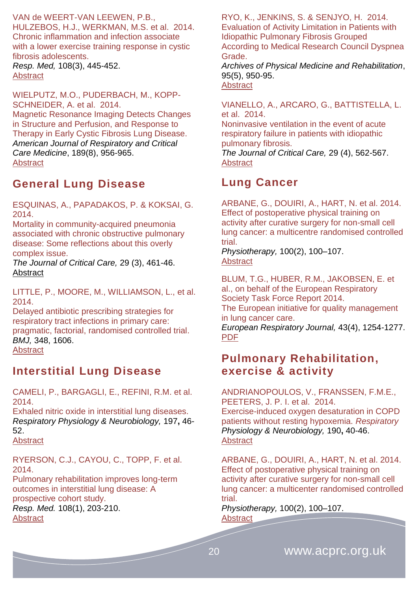VAN de WEERT-VAN LEEWEN, P.B.,

HULZEBOS, H.J., WERKMAN, M.S. et al. 2014. Chronic inflammation and infection associate with a lower exercise training response in cystic fibrosis adolescents.

*Resp. Med,* 108(3), 445-452. [Abstract](http://www.resmedjournal.com/article/S0954-6111%2813%2900313-2/abstract)

WIELPUTZ, M.O., PUDERBACH, M., KOPP-SCHNEIDER, A. et al. 2014.

Magnetic Resonance Imaging Detects Changes in Structure and Perfusion, and Response to Therapy in Early Cystic Fibrosis Lung Disease. *American Journal of Respiratory and Critical Care Medicine*, 189(8), 956-965. **[Abstract](http://www.atsjournals.org/doi/abs/10.1164/rccm.201309-1659OC#.VLZ_PiusV-s)** 

### <span id="page-19-0"></span>**General Lung Disease**

ESQUINAS, A., PAPADAKOS, P. & KOKSAI, G. 2014.

Mortality in community-acquired pneumonia associated with chronic obstructive pulmonary disease: Some reflections about this overly complex issue.

*The Journal of Critical Care,* 29 (3), 461-46. [Abstract](http://www.jccjournal.org/article/S0883-9441(14)00050-1/abstract)

LITTLE, P., MOORE, M., WILLIAMSON, L., et al. 2014.

Delayed antibiotic prescribing strategies for respiratory tract infections in primary care: pragmatic, factorial, randomised controlled trial. *BMJ,* 348, 1606. **[Abstract](http://www.ncbi.nlm.nih.gov/pubmed/24603565)** 

### <span id="page-19-1"></span>**Interstitial Lung Disease**

CAMELI, P., BARGAGLI, E., REFINI, R.M. et al. 2014.

Exhaled nitric oxide in interstitial lung diseases. *Respiratory Physiology & Neurobiology,* 197**,** 46- 52.

[Abstract](http://www.ncbi.nlm.nih.gov/pubmed/24703971)

RYERSON, C.J., CAYOU, C., TOPP, F. et al. 2014.

Pulmonary rehabilitation improves long-term outcomes in interstitial lung disease: A prospective cohort study. *Resp. Med.* 108(1), 203-210. [Abstract](http://www.resmedjournal.com/article/S0954-6111%2813%2900478-2/abstract)

RYO, K., JENKINS, S. & SENJYO, H. 2014. Evaluation of Activity Limitation in Patients with Idiopathic Pulmonary Fibrosis Grouped According to Medical Research Council Dyspnea Grade.

*Archives of Physical Medicine and Rehabilitation*, 95(5), 950-95. [Abstract](http://www.archives-pmr.org/article/S0003-9993(14)00071-9/abstract)

VIANELLO, A., ARCARO, G., BATTISTELLA, L. et al. 2014.

Noninvasive ventilation in the event of acute respiratory failure in patients with idiopathic pulmonary fibrosis.

*The Journal of Critical Care,* 29 (4), 562-567. **[Abstract](http://www.jccjournal.org/article/S0883-9441(14)00119-1/abstract)** 

### <span id="page-19-2"></span>**Lung Cancer**

ARBANE, G., DOUIRI, A., HART, N. et al. 2014. Effect of postoperative physical training on activity after curative surgery for non-small cell lung cancer: a multicentre randomised controlled trial.

*Physiotherapy,* 100(2), 100–107. [Abstract](http://www.physiotherapyjournal.com/article/S0031-9406(14)00022-4/abstract)

BLUM, T.G., HUBER, R.M., JAKOBSEN, E. et al., on behalf of the European Respiratory Society Task Force Report 2014. The European initiative for quality management in lung cancer care. *European Respiratory Journal,* 43(4), 1254-1277. [PDF](http://erj.ersjournals.com/content/43/5/1254.full.pdf+html)

### <span id="page-19-3"></span>**Pulmonary Rehabilitation, exercise & activity**

ANDRIANOPOULOS, V., FRANSSEN, F.M.E., PEETERS, J. P. I. et al. 2014. Exercise-induced oxygen desaturation in COPD patients without resting hypoxemia. *Respiratory Physiology & Neurobiology,* 190**,** 40-46. [Abstract](http://www.ncbi.nlm.nih.gov/pubmed/24121092)

ARBANE, G., DOUIRI, A., HART, N. et al. 2014. Effect of postoperative physical training on activity after curative surgery for non-small cell lung cancer: a multicenter randomised controlled trial.

*Physiotherapy,* 100(2), 100–107. [Abstract](http://www.physiotherapyjournal.com/article/S0031-9406(14)00022-4/abstract)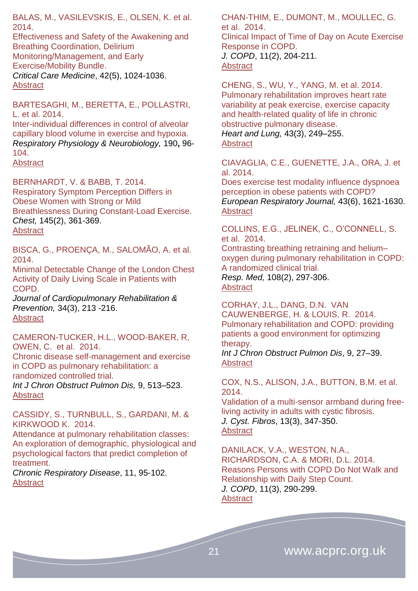BALAS, M., VASILEVSKIS, E., OLSEN, K. et al. 2014.

Effectiveness and Safety of the Awakening and Breathing Coordination, Delirium Monitoring/Management, and Early Exercise/Mobility Bundle. *Critical Care Medicine*, 42(5), 1024-1036. **[Abstract](http://journals.lww.com/ccmjournal/Abstract/2014/05000/Effectiveness_and_Safety_of_the_Awakening_and.2.aspx)** 

BARTESAGHI, M., BERETTA, E., POLLASTRI, L. et al. 2014. Inter-individual differences in control of alveolar

capillary blood volume in exercise and hypoxia. *Respiratory Physiology & Neurobiology,* 190**,** 96- 104. **[Abstract](http://www.ncbi.nlm.nih.gov/pubmed/?term=Inter-individual+differences+in+control+of+alveolar+capillary+blood+volume+in+exercise+and+hypoxia)** 

BERNHARDT, V. & BABB, T. 2014. Respiratory Symptom Perception Differs in Obese Women with Strong or Mild Breathlessness During Constant-Load Exercise. *Chest,* 145(2), 361-369. [Abstract](http://journal.publications.chestnet.org/article.aspx?articleID=1733218)

BISCA, G., PROENÇA, M., SALOMÃO, A. et al. 2014.

Minimal Detectable Change of the London Chest Activity of Daily Living Scale in Patients with COPD.

*Journal of Cardiopulmonary Rehabilitation & Prevention,* 34(3), 213 -216. **[Abstract](http://journals.lww.com/jcrjournal/Abstract/2014/05000/Minimal_Detectable_Change_of_the_London_Chest.8.aspx)** 

CAMERON-TUCKER, H.L., WOOD-BAKER, R, OWEN, C. et al. 2014.

Chronic disease self-management and exercise in COPD as pulmonary rehabilitation: a randomized controlled trial.

*Int J Chron Obstruct Pulmon Dis,* 9, 513–523. **[Abstract](http://www.ncbi.nlm.nih.gov/pmc/articles/PMC4037329/)** 

CASSIDY, S., TURNBULL, S., GARDANI, M. & KIRKWOOD K. 2014.

Attendance at pulmonary rehabilitation classes: An exploration of demographic, physiological and psychological factors that predict completion of treatment.

*Chronic Respiratory Disease*, 11, 95-102. **[Abstract](http://crd.sagepub.com/content/11/2/95.abstract)** 

CHAN-THIM, E., DUMONT, M., MOULLEC, G. et al. 2014. Clinical Impact of Time of Day on Acute Exercise

Response in COPD. *J. COPD*, 11(2), 204-211. **[Abstract](http://informahealthcare.com/doi/abs/10.3109/15412555.2013.836167)** 

CHENG, S., WU, Y., YANG, M. et al. 2014. Pulmonary rehabilitation improves heart rate variability at peak exercise, exercise capacity and health-related quality of life in chronic obstructive pulmonary disease. *Heart and Lung,* 43(3), 249–255. **[Abstract](http://www.heartandlung.org/article/S0147-9563(14)00071-5/abstract)** 

CIAVAGLIA, C.E., GUENETTE, J.A., ORA, J. et al. 2014.

Does exercise test modality influence dyspnoea perception in obese patients with COPD? *European Respiratory Journal,* 43(6), 1621-1630. **[Abstract](http://erj.ersjournals.com/content/43/6/1621.abstract)** 

COLLINS, E.G., JELINEK, C., O'CONNELL, S. et al. 2014.

Contrasting breathing retraining and helium– oxygen during pulmonary rehabilitation in COPD: A randomized clinical trial.

*Resp. Med,* 108(2), 297-306. [Abstract](http://www.resmedjournal.com/article/S0954-6111%2813%2900438-1/abstract)

CORHAY, J.L., DANG, D.N. VAN CAUWENBERGE, H. & LOUIS, R. 2014. Pulmonary rehabilitation and COPD: providing patients a good environment for optimizing therapy.

*Int J Chron Obstruct Pulmon Dis*, 9, 27–39. [Abstract](http://www.ncbi.nlm.nih.gov/pmc/articles/PMC3869834/)

COX, N.S., ALISON, J.A., BUTTON, B.M. et al. 2014.

[Validation of a multi-sensor armband during free](http://www.cysticfibrosisjournal.com/article/S1569-1993(13)00225-7/abstract)[living activity in adults with cystic fibrosis.](http://www.cysticfibrosisjournal.com/article/S1569-1993(13)00225-7/abstract) *J. Cyst. Fibros*, 13(3), 347-350. **[Abstract](http://www.ncbi.nlm.nih.gov/pubmed/24374296)** 

DANILACK, V.A., WESTON, N.A., RICHARDSON, C.A. & MORI, D.L. 2014. Reasons Persons with COPD Do Not Walk and Relationship with Daily Step Count. *J. COPD*, 11(3), 290-299. **[Abstract](file:///C:/Users/Simon/AppData/Roaming/Microsoft/Word/informahealthcare.com/doi/abs/10.3109/15412555.2013.841670)** 

21 www.acprc.org.uk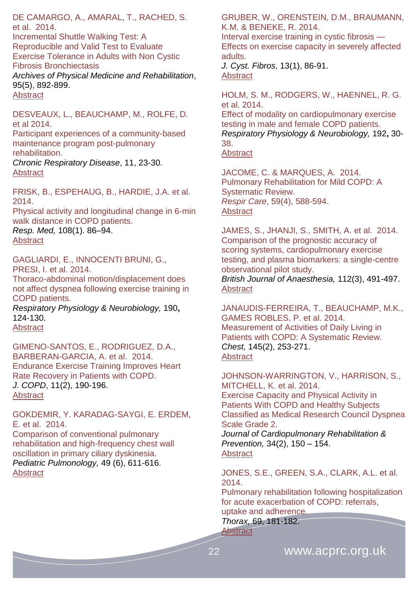DE CAMARGO, A., AMARAL, T., RACHED, S. et al. 2014.

Incremental Shuttle Walking Test: A Reproducible and Valid Test to Evaluate Exercise Tolerance in Adults with Non Cystic Fibrosis Bronchiectasis

*Archives of Physical Medicine and Rehabilitation*, 95(5), 892-899. [Abstract](http://www.archives-pmr.org/article/S0003-9993(13)01239-2/abstract)

DESVEAUX, L., BEAUCHAMP, M., ROLFE, D. et al 2014.

Participant experiences of a community-based maintenance program post-pulmonary rehabilitation.

*Chronic Respiratory Disease*, 11, 23-30. [Abstract](http://crd.sagepub.com/content/11/1/23.abstract#aff-1)

FRISK, B., ESPEHAUG, B., HARDIE, J.A. et al. 2014.

Physical activity and longitudinal change in 6-min walk distance in COPD patients. *Resp. Med,* 108(1). 86–94.

[Abstract](http://www.resmedjournal.com/article/S0954-6111%2813%2900369-7/abstract)

GAGLIARDI, E., INNOCENTI BRUNI, G., PRESI, I. et al. 2014.

Thoraco-abdominal motion/displacement does not affect dyspnea following exercise training in COPD patients.

*Respiratory Physiology & Neurobiology,* 190**,** 124-130.

**[Abstract](http://www.ncbi.nlm.nih.gov/pubmed/?term=Thoraco-abdominal+motion%2Fdisplacement+does+not+affect+dyspnea+following+exercise+training+in+COPD+patients.)** 

GIMENO-SANTOS, E., RODRIGUEZ, D.A., BARBERAN-GARCIA, A. et al. 2014. Endurance Exercise Training Improves Heart Rate Recovery in Patients with COPD. *J. COPD*, 11(2), 190-196. **[Abstract](http://informahealthcare.com/doi/abs/10.3109/15412555.2013.831401)** 

GOKDEMIR, Y. KARADAG-SAYGI, E. ERDEM, E. et al. 2014. Comparison of conventional pulmonary

rehabilitation and high-frequency chest wall oscillation in primary ciliary dyskinesia. *Pediatric Pulmonology,* 49 (6), 611-616. **[Abstract](http://onlinelibrary.wiley.com/doi/10.1002/ppul.22861/abstract)** 

GRUBER, W., ORENSTEIN, D.M., BRAUMANN, K.M. & BENEKE, R. 2014.

[Interval exercise training in cystic fibrosis —](http://www.cysticfibrosisjournal.com/article/S1569-1993(13)00110-0/abstract) [Effects on exercise capacity in severely affected](http://www.cysticfibrosisjournal.com/article/S1569-1993(13)00110-0/abstract)  [adults.](http://www.cysticfibrosisjournal.com/article/S1569-1993(13)00110-0/abstract)

*J. Cyst. Fibros*, 13(1), 86-91. [Abstract](http://www.ncbi.nlm.nih.gov/pubmed/23863518)

HOLM, S. M., RODGERS, W., HAENNEL, R. G. et al. 2014.

Effect of modality on cardiopulmonary exercise testing in male and female COPD patients. *Respiratory Physiology & Neurobiology,* 192**,** 30- 38.

[Abstract](http://www.ncbi.nlm.nih.gov/pubmed/24316218)

JACOME, C. & MARQUES, A. 2014. Pulmonary Rehabilitation for Mild COPD: A Systematic Review. *Respir Care*, 59(4), 588-594. **[Abstract](http://rc.rcjournal.com/content/59/4/588.abstract)** 

JAMES, S., JHANJI, S., SMITH, A. et al. 2014. Comparison of the prognostic accuracy of scoring systems, cardiopulmonary exercise testing, and plasma biomarkers: a single-centre observational pilot study. *British Journal of Anaesthesia,* 112(3), 491-497. [Abstract](http://bja.oxfordjournals.org/content/112/3/491.abstract)

JANAUDIS-FERREIRA, T., BEAUCHAMP, M.K., GAMES ROBLES, P. et al. 2014. Measurement of Activities of Daily Living in Patients with COPD: A Systematic Review. *Chest,* 145(2), 253-271. [Abstract](http://journal.publications.chestnet.org/article.aspx?articleID=1687332)

JOHNSON-WARRINGTON, V., HARRISON, S., MITCHELL, K. et al. 2014. Exercise Capacity and Physical Activity in Patients With COPD and Healthy Subjects Classified as Medical Research Council Dyspnea Scale Grade 2.

*Journal of Cardiopulmonary Rehabilitation & Prevention,* 34(2), 150 – 154. [Abstract](http://journals.lww.com/jcrjournal/Abstract/2014/03000/Exercise_Capacity_and_Physical_Activity_in.9.aspx)

JONES, S.E., GREEN, S.A., CLARK, A.L. et al. 2014.

Pulmonary rehabilitation following hospitalization for acute exacerbation of COPD: referrals, uptake and adherence.

*Thorax,* 69, 181-182. [Abstract](http://www.thorax.bmj.com/content/69/2/181.abstract)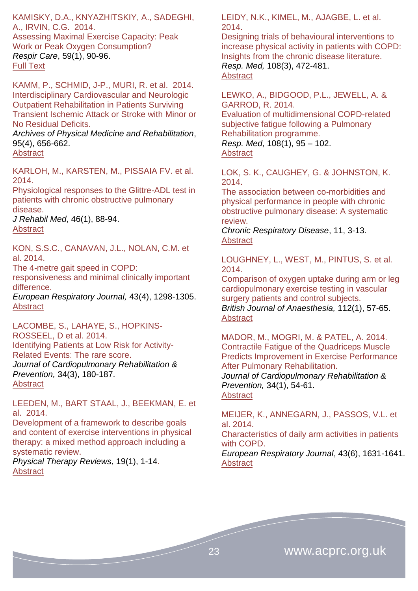KAMISKY, D.A., KNYAZHITSKIY, A., SADEGHI, A., IRVIN, C.G. 2014.

Assessing Maximal Exercise Capacity: Peak Work or Peak Oxygen Consumption? *Respir Care*, 59(1), 90-96. [Full Text](http://rc.rcjournal.com/content/59/1/90.full)

KAMM, P., SCHMID, J-P., MURI, R. et al. 2014. Interdisciplinary Cardiovascular and Neurologic Outpatient Rehabilitation in Patients Surviving Transient Ischemic Attack or Stroke with Minor or No Residual Deficits.

*Archives of Physical Medicine and Rehabilitation*, 95(4), 656-662.

**[Abstract](http://www.archives-pmr.org/article/S0003-9993(13)01107-6/abstract)** 

KARLOH, M., KARSTEN, M., PISSAIA FV. et al. 2014.

Physiological responses to the Glittre-ADL test in patients with chronic obstructive pulmonary disease.

*J Rehabil Med*, 46(1), 88-94. **[Abstract](http://www.ncbi.nlm.nih.gov/pubmed?cmd=search&term=10.2340%2F16501977-1217&dispmax=50)** 

KON, S.S.C., CANAVAN, J.L., NOLAN, C.M. et al. 2014.

The 4-metre gait speed in COPD:

responsiveness and minimal clinically important difference.

*European Respiratory Journal,* 43(4), 1298-1305. **[Abstract](http://erj.ersjournals.com/content/43/5/1298.abstract)** 

LACOMBE, S., LAHAYE, S., HOPKINS-ROSSEEL, D et al. 2014. Identifying Patients at Low Risk for Activity-Related Events: The rare score. *Journal of Cardiopulmonary Rehabilitation & Prevention,* 34(3), 180-187. [Abstract](http://journals.lww.com/jcrjournal/Abstract/2014/05000/Identifying_Patients_at_Low_Risk_for.3.aspx)

LEEDEN, M., BART STAAL, J., BEEKMAN, E. et al. 2014.

Development of a framework to describe goals and content of exercise interventions in physical therapy: a mixed method approach including a systematic review.

*Physical Therapy Reviews*, 19(1), 1-14. **[Abstract](http://www.maneyonline.com/doi/abs/10.1179/1743288X13Y.0000000095)** 

LEIDY, N.K., KIMEL, M., AJAGBE, L. et al. 2014.

Designing trials of behavioural interventions to increase physical activity in patients with COPD: Insights from the chronic disease literature. *Resp. Med,* 108(3), 472-481. [Abstract](http://www.resmedjournal.com/article/S0954-6111%2813%2900452-6/abstract)

LEWKO, A., BIDGOOD, P.L., JEWELL, A. & GARROD, R. 2014.

Evaluation of multidimensional COPD-related subjective fatigue following a Pulmonary Rehabilitation programme. *Resp. Med*, 108(1), 95 – 102.

[Abstract](http://www.resmedjournal.com/article/S0954-6111(13)00368-5/abstract)

LOK, S. K., CAUGHEY, G. & JOHNSTON, K. 2014.

The association between co-morbidities and physical performance in people with chronic obstructive pulmonary disease: A systematic review.

*Chronic Respiratory Disease*, 11, 3-13. **[Abstract](http://crd.sagepub.com/content/11/1/3.abstract)** 

LOUGHNEY, L., WEST, M., PINTUS, S. et al. 2014.

Comparison of oxygen uptake during arm or leg cardiopulmonary exercise testing in vascular surgery patients and control subjects. *British Journal of Anaesthesia,* 112(1), 57-65. [Abstract](http://bja.oxfordjournals.org/content/112/1/57.abstract)

MADOR, M., MOGRI, M. & PATEL, A. 2014. Contractile Fatigue of the Quadriceps Muscle Predicts Improvement in Exercise Performance After Pulmonary Rehabilitation.

*Journal of Cardiopulmonary Rehabilitation & Prevention,* 34(1), 54-61.

**[Abstract](http://journals.lww.com/jcrjournal/Abstract/2014/01000/Contractile_Fatigue_of_the_Quadriceps_Muscle.8.aspx)** 

MEIJER, K., ANNEGARN, J., PASSOS, V.L. et al. 2014.

Characteristics of daily arm activities in patients with COPD.

*European Respiratory Journal*, 43(6), 1631-1641. **[Abstract](http://erj.ersjournals.com/content/43/6/1631.abstract)**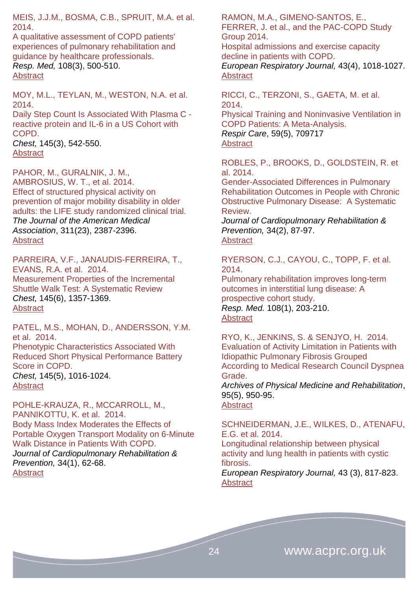MEIS, J.J.M., BOSMA, C.B., SPRUIT, M.A. et al. 2014.

A qualitative assessment of COPD patients' experiences of pulmonary rehabilitation and guidance by healthcare professionals. *Resp. Med,* 108(3), 500-510. [Abstract](http://www.resmedjournal.com/article/S0954-6111%2813%2900442-3/abstract)

MOY, M.L., TEYLAN, M., WESTON, N.A. et al. 2014. Daily Step Count Is Associated With Plasma C reactive protein and IL-6 in a US Cohort with

COPD. *Chest,* 145(3), 542-550. **[Abstract](http://journal.publications.chestnet.org/article.aspx?articleID=1746169)** 

PAHOR, M., GURALNIK, J. M., AMBROSIUS, W. T., et al. 2014. Effect of structured physical activity on prevention of major mobility disability in older adults: the LIFE study randomized clinical trial. *The Journal of the American Medical Association*, 311(23), 2387-2396. [Abstract](http://www.ncbi.nlm.nih.gov/pubmed/24866862)

PARREIRA, V.F., JANAUDIS-FERREIRA, T., EVANS, R.A. et al. 2014. Measurement Properties of the Incremental Shuttle Walk Test: A Systematic Review *Chest,* 145(6), 1357-1369. [Abstract](http://journal.publications.chestnet.org/article.aspx?articleID=1809990)

PATEL, M.S., MOHAN, D., ANDERSSON, Y.M. et al. 2014. Phenotypic Characteristics Associated With Reduced Short Physical Performance Battery Score in COPD. *Chest,* 145(5), 1016-1024. **[Abstract](http://journal.publications.chestnet.org/article.aspx?articleID=1789306)** 

POHLE-KRAUZA, R., MCCARROLL, M., PANNIKOTTU, K. et al. 2014. Body Mass Index Moderates the Effects of Portable Oxygen Transport Modality on 6-Minute Walk Distance in Patients With COPD. *Journal of Cardiopulmonary Rehabilitation & Prevention,* 34(1), 62-68. **[Abstract](http://journals.lww.com/jcrjournal/Abstract/2014/01000/Body_Mass_Index_Moderates_the_Effects_of_Portable.9.aspx)** 

RAMON, M.A., GIMENO-SANTOS, E., FERRER, J. et al., and the PAC-COPD Study Group 2014. Hospital admissions and exercise capacity

decline in patients with COPD. *European Respiratory Journal,* 43(4), 1018-1027.

[Abstract](http://erj.ersjournals.com/content/43/4/1018.abstract)

RICCI, C., TERZONI, S., GAETA, M. et al. 2014.

Physical Training and Noninvasive Ventilation in COPD Patients: A Meta-Analysis. *Respir Care*, 59(5), 709717 **[Abstract](http://rc.rcjournal.com/content/59/5/709.abstract)** 

ROBLES, P., BROOKS, D., GOLDSTEIN, R. et al. 2014.

Gender-Associated Differences in Pulmonary Rehabilitation Outcomes in People with Chronic Obstructive Pulmonary Disease: A Systematic Review.

*Journal of Cardiopulmonary Rehabilitation & Prevention,* 34(2), 87-97. [Abstract](http://journals.lww.com/jcrjournal/Fulltext/2014/03000/Gender_Associated_Differences_in_Pulmonary.1.aspx)

RYERSON, C.J., CAYOU, C., TOPP, F. et al. 2014.

Pulmonary rehabilitation improves long-term outcomes in interstitial lung disease: A prospective cohort study. *Resp. Med.* 108(1), 203-210. [Abstract](http://www.resmedjournal.com/article/S0954-6111%2813%2900478-2/abstract)

RYO, K., JENKINS, S. & SENJYO, H. 2014. Evaluation of Activity Limitation in Patients with Idiopathic Pulmonary Fibrosis Grouped According to Medical Research Council Dyspnea Grade. *Archives of Physical Medicine and Rehabilitation*, 95(5), 950-95.

[Abstract](http://www.archives-pmr.org/article/S0003-9993(14)00071-9/abstract)

SCHNEIDERMAN, J.E., WILKES, D., ATENAFU, E.G. et al. 2014. Longitudinal relationship between physical activity and lung health in patients with cystic fibrosis. *European Respiratory Journal,* 43 (3), 817-823. **[Abstract](http://erj.ersjournals.com/content/43/3/817.abstract)**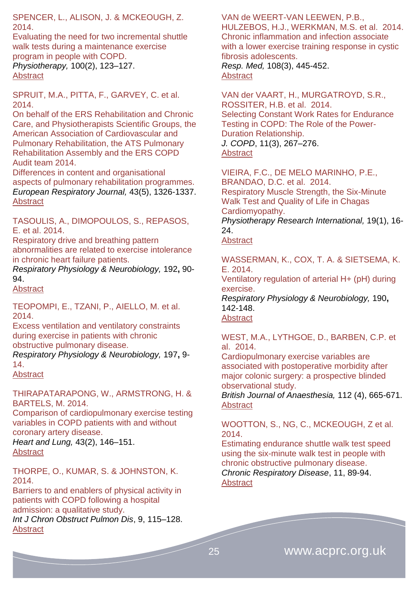SPENCER, L., ALISON, J. & MCKEOUGH, Z. 2014.

Evaluating the need for two incremental shuttle walk tests during a maintenance exercise program in people with COPD. *Physiotherapy,* 100(2), 123–127. [Abstract](http://www.physiotherapyjournal.com/article/S0031-9406(13)00121-1/abstract)

SPRUIT, M.A., PITTA, F., GARVEY, C. et al. 2014.

On behalf of the ERS Rehabilitation and Chronic Care, and Physiotherapists Scientific Groups, the American Association of Cardiovascular and Pulmonary Rehabilitation, the ATS Pulmonary Rehabilitation Assembly and the ERS COPD Audit team 2014.

Differences in content and organisational aspects of pulmonary rehabilitation programmes. *European Respiratory Journal,* 43(5), 1326-1337. [Abstract](http://erj.ersjournals.com/content/43/5/1326.abstract)

TASOULIS, A., DIMOPOULOS, S., REPASOS, E. et al. 2014.

Respiratory drive and breathing pattern abnormalities are related to exercise intolerance in chronic heart failure patients.

*Respiratory Physiology & Neurobiology,* 192**,** 90- 94.

[Abstract](http://www.ncbi.nlm.nih.gov/pubmed/?term=Respiratory+drive+and+breathing+pattern+abnormalities+are+related+to+exercise+intolerance+in+chronic+heart+failure+patients.)

TEOPOMPI, E., TZANI, P., AIELLO, M. et al. 2014.

Excess ventilation and ventilatory constraints during exercise in patients with chronic obstructive pulmonary disease.

*Respiratory Physiology & Neurobiology,* 197**,** 9- 14.

[Abstract](http://www.ncbi.nlm.nih.gov/pubmed/?term=Excess+ventilation+and+ventilatory+constraints+during+exercise+in+patients+with+chronic+obstructive+pulmonary+disease.)

THIRAPATARAPONG, W., ARMSTRONG, H. & BARTELS, M. 2014.

Comparison of cardiopulmonary exercise testing variables in COPD patients with and without coronary artery disease.

*Heart and Lung,* 43(2), 146–151. **[Abstract](http://www.heartandlung.org/article/S0147-9563(14)00003-X/abstract)** 

THORPE, O., KUMAR, S. & JOHNSTON, K. 2014.

Barriers to and enablers of physical activity in patients with COPD following a hospital admission: a qualitative study. *Int J Chron Obstruct Pulmon Dis*, 9, 115–128.

**[Abstract](http://www.ncbi.nlm.nih.gov/pmc/articles/PMC3904833/)** 

#### VAN de WEERT-VAN LEEWEN, P.B.,

HULZEBOS, H.J., WERKMAN, M.S. et al. 2014. Chronic inflammation and infection associate with a lower exercise training response in cystic fibrosis adolescents.

*Resp. Med,* 108(3), 445-452. [Abstract](http://www.resmedjournal.com/article/S0954-6111%2813%2900313-2/abstract)

VAN der VAART, H., MURGATROYD, S.R., ROSSITER, H.B. et al. 2014. Selecting Constant Work Rates for Endurance Testing in COPD: The Role of the Power-Duration Relationship. *J. COPD*, 11(3), 267–276. [Abstract](http://informahealthcare.com/toc/cop/11/3)

VIEIRA, F.C., DE MELO MARINHO, P.E., BRANDAO, D.C. et al. 2014. Respiratory Muscle Strength, the Six-Minute Walk Test and Quality of Life in Chagas Cardiomyopathy. *Physiotherapy Research International,* 19(1), 16-

24. [Abstract](http://www.ncbi.nlm.nih.gov/pubmed/?term=Respiratory+Muscle+Strength%2C+the+Six-Minute+Walk+Test+and+Quality+of+Life+in+Chagas+Cardiomyopathy+(pages+8%E2%80%9315))

WASSERMAN, K., COX, T. A. & SIETSEMA, K. E. 2014.

Ventilatory regulation of arterial H+ (pH) during exercise.

*Respiratory Physiology & Neurobiology,* 190**,** 142-148.

**[Abstract](http://www.ncbi.nlm.nih.gov/pubmed/24369924)** 

WEST, M.A., LYTHGOE, D., BARBEN, C.P. et al. 2014.

Cardiopulmonary exercise variables are associated with postoperative morbidity after major colonic surgery: a prospective blinded observational study.

*British Journal of Anaesthesia,* 112 (4), 665-671. [Abstract](http://bja.oxfordjournals.org/content/112/4/665.abstract)

WOOTTON, S., NG, C., MCKEOUGH, Z et al. 2014.

Estimating endurance shuttle walk test speed using the six-minute walk test in people with chronic obstructive pulmonary disease. *Chronic Respiratory Disease*, 11, 89-94. **[Abstract](http://crd.sagepub.com/content/11/2/89.abstract)**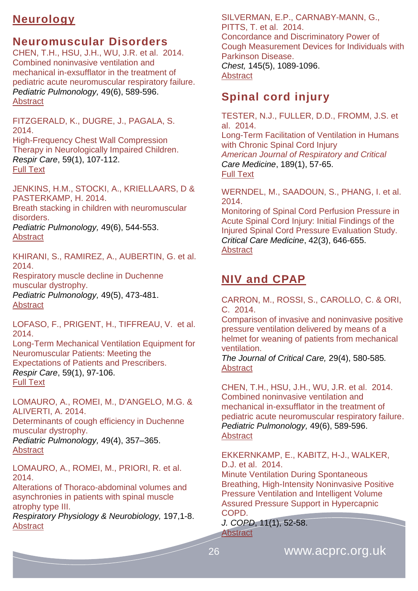# <span id="page-25-0"></span>**Neurology**

#### <span id="page-25-1"></span>**Neuromuscular Disorders**

CHEN, T.H., HSU, J.H., WU, J.R. et al. 2014. Combined noninvasive ventilation and mechanical in-exsufflator in the treatment of pediatric acute neuromuscular respiratory failure. *Pediatric Pulmonology,* 49(6), 589-596. **[Abstract](http://onlinelibrary.wiley.com/doi/10.1002/ppul.22827/abstract)** 

FITZGERALD, K., DUGRE, J., PAGALA, S. 2014. High-Frequency Chest Wall Compression Therapy in Neurologically Impaired Children. *Respir Care*, 59(1), 107-112. [Full Text](http://rc.rcjournal.com/content/59/1/107.full)

JENKINS, H.M., STOCKI, A., KRIELLAARS, D & PASTERKAMP, H. 2014.

Breath stacking in children with neuromuscular disorders.

*Pediatric Pulmonology,* 49(6), 544-553. **[Abstract](http://onlinelibrary.wiley.com/doi/10.1002/ppul.22865/abstract)** 

KHIRANI, S., RAMIREZ, A., AUBERTIN, G. et al. 2014.

Respiratory muscle decline in Duchenne muscular dystrophy.

*Pediatric Pulmonology,* 49(5), 473-481. **[Abstract](http://onlinelibrary.wiley.com/doi/10.1002/ppul.22847/abstract)** 

LOFASO, F., PRIGENT, H., TIFFREAU, V. et al. 2014.

Long-Term Mechanical Ventilation Equipment for Neuromuscular Patients: Meeting the Expectations of Patients and Prescribers. *Respir Care*, 59(1), 97-106. [Full Text](http://rc.rcjournal.com/content/59/1/97.full)

LOMAURO, A., ROMEI, M., D'ANGELO, M.G. & ALIVERTI, A. 2014.

Determinants of cough efficiency in Duchenne muscular dystrophy.

*Pediatric Pulmonology,* 49(4), 357–365. **[Abstract](http://onlinelibrary.wiley.com/doi/10.1002/ppul.22836/abstract)** 

LOMAURO, A., ROMEI, M., PRIORI, R. et al. 2014.

Alterations of Thoraco-abdominal volumes and asynchronies in patients with spinal muscle atrophy type III.

*Respiratory Physiology & Neurobiology,* 197,1-8. [Abstract](http://www.ncbi.nlm.nih.gov/pubmed/?term=Alterations+of+thoraco-abdominal+volumes+and+asynchronies+in+patients+with+spinal+muscle+atrophy+type+III.)

SILVERMAN, E.P., CARNABY-MANN, G., PITTS, T. et al. 2014. Concordance and Discriminatory Power of Cough Measurement Devices for Individuals with Parkinson Disease. *Chest,* 145(5), 1089-1096. **[Abstract](http://journal.publications.chestnet.org/article.aspx?articleID=1782167)** 

# <span id="page-25-2"></span>**Spinal cord injury**

TESTER, N.J., FULLER, D.D., FROMM, J.S. et al. 2014. Long-Term Facilitation of Ventilation in Humans with Chronic Spinal Cord Injury *American Journal of Respiratory and Critical Care Medicine*, 189(1), 57-65. [Full Text](http://www.atsjournals.org/doi/full/10.1164/rccm.201305-0848OC#.VLZqhiusV-s)

WERNDEL, M., SAADOUN, S., PHANG, I. et al. 2014.

Monitoring of Spinal Cord Perfusion Pressure in Acute Spinal Cord Injury: Initial Findings of the Injured Spinal Cord Pressure Evaluation Study. *Critical Care Medicine*, 42(3), 646-655. **[Abstract](http://journals.lww.com/ccmjournal/Abstract/2014/03000/Monitoring_of_Spinal_Cord_Perfusion_Pressure_in.19.aspx)** 

# <span id="page-25-3"></span>**NIV and CPAP**

CARRON, M., ROSSI, S., CAROLLO, C. & ORI, C. 2014.

Comparison of invasive and noninvasive positive pressure ventilation delivered by means of a helmet for weaning of patients from mechanical ventilation.

*The Journal of Critical Care,* 29(4), 580-585*.*  **Abstract** 

CHEN, T.H., HSU, J.H., WU, J.R. et al. 2014. Combined noninvasive ventilation and mechanical in-exsufflator in the treatment of pediatric acute neuromuscular respiratory failure. *Pediatric Pulmonology,* 49(6), 589-596. [Abstract](http://onlinelibrary.wiley.com/doi/10.1002/ppul.22827/abstract)

EKKERNKAMP, E., KABITZ, H-J., WALKER, D.J. et al. 2014.

Minute Ventilation During Spontaneous Breathing, High-Intensity Noninvasive Positive Pressure Ventilation and Intelligent Volume Assured Pressure Support in Hypercapnic COPD.

*J. COPD*, 11(1), 52-58. [Abstract](http://informahealthcare.com/doi/abs/10.3109/15412555.2013.829437)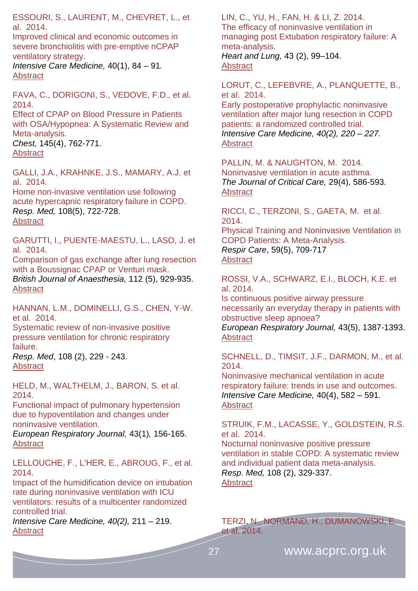ESSOURI, S., LAURENT, M., CHEVRET, L., et al. 2014.

[Improved clinical and economic outcomes in](http://icmjournal.esicm.org/journal/134/40/1/3129_10.1007_s00134-013-3129-z/2013/Improved_clinical_and_economic_outcomes_in_severe_.html)  [severe bronchiolitis with pre-emptive nCPAP](http://icmjournal.esicm.org/journal/134/40/1/3129_10.1007_s00134-013-3129-z/2013/Improved_clinical_and_economic_outcomes_in_severe_.html) [ventilatory strategy.](http://icmjournal.esicm.org/journal/134/40/1/3129_10.1007_s00134-013-3129-z/2013/Improved_clinical_and_economic_outcomes_in_severe_.html)

*Intensive Care Medicine,* 40(1), 84 – 91*.* [Abstract](http://icmjournal.esicm.org/journals/abstract.html?v=40&j=134&i=1&a=3129_10.1007_s00134-013-3129-z&doi=)

FAVA, C., DORIGONI, S., VEDOVE, F.D., et al. 2014.

Effect of CPAP on Blood Pressure in Patients with OSA/Hypopnea: A Systematic Review and Meta-analysis.

*Chest,* 145(4), 762-771. [Abstract](http://journal.publications.chestnet.org/article.aspx?articleID=1742666)

GALLI, J.A., KRAHNKE, J.S., MAMARY, A.J. et al. 2014. Home non-invasive ventilation use following acute hypercapnic respiratory failure in COPD. *Resp. Med,* 108(5), 722-728.

**[Abstract](http://www.resmedjournal.com/article/S0954-6111%2814%2900114-0/abstract)** 

GARUTTI, I., PUENTE-MAESTU, L., LASO, J. et al. 2014.

Comparison of gas exchange after lung resection with a Boussignac CPAP or Venturi mask. *British Journal of Anaesthesia,* 112 (5), 929-935. [Abstract](http://bja.oxfordjournals.org/content/112/5/929.abstract)

HANNAN, L.M., DOMINELLI, G.S., CHEN, Y-W. et al. 2014.

Systematic review of non-invasive positive pressure ventilation for chronic respiratory failure.

*Resp. Med*, 108 (2), 229 - 243. **[Abstract](http://www.resmedjournal.com/article/S0954-6111%2813%2900451-4/abstract)** 

HELD, M., WALTHELM, J., BARON, S. et al. 2014.

Functional impact of pulmonary hypertension due to hypoventilation and changes under noninvasive ventilation.

*European Respiratory Journal,* 43(1)*,* 156-165. **[Abstract](http://erj.ersjournals.com/content/43/1/156.abstract)** 

LELLOUCHE, F., L'HER, E., ABROUG, F., et al. 2014.

[Impact of the humidification device on intubation](http://icmjournal.esicm.org/journal/134/40/2/3145_10.1007_s00134-013-3145-z/2013/Impact_of_the_humidification_device_on_intubation_.html)  [rate during noninvasive ventilation with ICU](http://icmjournal.esicm.org/journal/134/40/2/3145_10.1007_s00134-013-3145-z/2013/Impact_of_the_humidification_device_on_intubation_.html)  [ventilators: results of a multicenter randomized](http://icmjournal.esicm.org/journal/134/40/2/3145_10.1007_s00134-013-3145-z/2013/Impact_of_the_humidification_device_on_intubation_.html)  [controlled trial.](http://icmjournal.esicm.org/journal/134/40/2/3145_10.1007_s00134-013-3145-z/2013/Impact_of_the_humidification_device_on_intubation_.html)

*Intensive Care Medicine, 40(2),* 211 – 219. **[Abstract](http://icmjournal.esicm.org/journals/abstract.html?v=40&j=134&i=2&a=3145_10.1007_s00134-013-3145-z&doi=)** 

LIN, C., YU, H., FAN, H. & LI, Z. 2014. The efficacy of noninvasive ventilation in managing post Extubation respiratory failure: A meta-analysis. *Heart and Lung,* 43 (2), 99–104. **[Abstract](http://www.heartandlung.org/article/S0147-9563(14)00006-5/abstract)** 

LORUT, C., LEFEBVRE, A., PLANQUETTE, B., et al. 2014.

[Early postoperative prophylactic noninvasive](http://icmjournal.esicm.org/journal/134/40/2/3150_10.1007_s00134-013-3150-2/2013/Early_postoperative_prophylactic_noninvasive_venti.html)  [ventilation after major lung resection in COPD](http://icmjournal.esicm.org/journal/134/40/2/3150_10.1007_s00134-013-3150-2/2013/Early_postoperative_prophylactic_noninvasive_venti.html)  [patients: a randomized controlled trial.](http://icmjournal.esicm.org/journal/134/40/2/3150_10.1007_s00134-013-3150-2/2013/Early_postoperative_prophylactic_noninvasive_venti.html) *Intensive Care Medicine, 40(2), 220 – 227.* **[Abstract](http://icmjournal.esicm.org/journals/abstract.html?v=40&j=134&i=2&a=3150_10.1007_s00134-013-3150-2&doi=)** 

PALLIN, M. & NAUGHTON, M. 2014. Noninvasive ventilation in acute asthma. *The Journal of Critical Care,* 29(4), 586-593*.*  [Abstract](http://www.jccjournal.org/article/S0883-9441(14)00088-4/abstract)

RICCI, C., TERZONI, S., GAETA, M. et al. 2014.

Physical Training and Noninvasive Ventilation in COPD Patients: A Meta-Analysis. *Respir Care*, 59(5), 709-717 **[Abstract](http://rc.rcjournal.com/content/59/5/709.abstract)** 

ROSSI, V.A., SCHWARZ, E.I., BLOCH, K.E. et al. 2014.

Is continuous positive airway pressure necessarily an everyday therapy in patients with obstructive sleep apnoea? *European Respiratory Journal,* 43(5), 1387-1393. [Abstract](http://erj.ersjournals.com/content/43/5/1387.abstract)

SCHNELL, D., TIMSIT, J.F., DARMON, M., et al. 2014.

[Noninvasive mechanical ventilation in acute](http://icmjournal.esicm.org/journal/134/40/4/3222_10.1007_s00134-014-3222-y/2014/Noninvasive_mechanical_ventilation_in_acute_respir.html)  [respiratory failure: trends in use and outcomes.](http://icmjournal.esicm.org/journal/134/40/4/3222_10.1007_s00134-014-3222-y/2014/Noninvasive_mechanical_ventilation_in_acute_respir.html) *Intensive Care Medicine,* 40(4), 582 – 591. [Abstract](http://icmjournal.esicm.org/journals/abstract.html?v=40&j=134&i=4&a=3222_10.1007_s00134-014-3222-y&doi=)

STRUIK, F.M., LACASSE, Y., GOLDSTEIN, R.S. et al. 2014.

Nocturnal noninvasive positive pressure ventilation in stable COPD: A systematic review and individual patient data meta-analysis. *Resp. Med,* 108 (2), 329-337. **[Abstract](http://www.resmedjournal.com/article/S0954-6111%2813%2900417-4/abstract)** 

TERZI, N., NORMAND, H., DUMANOWSKI, E. et al. 2014.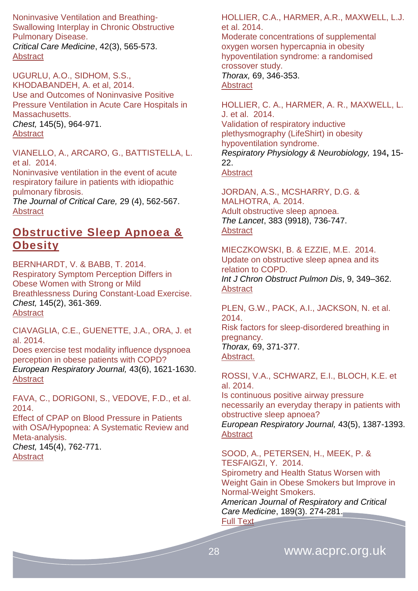Noninvasive Ventilation and Breathing-Swallowing Interplay in Chronic Obstructive Pulmonary Disease. *Critical Care Medicine*, 42(3), 565-573. [Abstract](http://journals.lww.com/ccmjournal/Abstract/2014/03000/Noninvasive_Ventilation_and_Breathing_Swallowing.9.aspx)

UGURLU, A.O., SIDHOM, S.S., KHODABANDEH, A. et al, 2014. Use and Outcomes of Noninvasive Positive Pressure Ventilation in Acute Care Hospitals in Massachusetts. *Chest,* 145(5), 964-971. [Abstract](http://journal.publications.chestnet.org/article.aspx?articleID=1819630)

VIANELLO, A., ARCARO, G., BATTISTELLA, L. et al. 2014.

Noninvasive ventilation in the event of acute respiratory failure in patients with idiopathic pulmonary fibrosis.

*The Journal of Critical Care,* 29 (4), 562-567. **[Abstract](http://www.jccjournal.org/article/S0883-9441(14)00119-1/abstract)** 

#### <span id="page-27-0"></span>**Obstructive Sleep Apnoea & Obesity**

BERNHARDT, V. & BABB, T. 2014. Respiratory Symptom Perception Differs in Obese Women with Strong or Mild Breathlessness During Constant-Load Exercise. *Chest,* 145(2), 361-369. [Abstract](http://journal.publications.chestnet.org/article.aspx?articleID=1733218)

CIAVAGLIA, C.E., GUENETTE, J.A., ORA, J. et al. 2014.

Does exercise test modality influence dyspnoea perception in obese patients with COPD? *European Respiratory Journal,* 43(6), 1621-1630. **[Abstract](http://erj.ersjournals.com/content/43/6/1621.abstract)** 

FAVA, C., DORIGONI, S., VEDOVE, F.D., et al. 2014.

Effect of CPAP on Blood Pressure in Patients with OSA/Hypopnea: A Systematic Review and Meta-analysis.

*Chest,* 145(4), 762-771. **[Abstract](http://journal.publications.chestnet.org/article.aspx?articleID=1742666)** 

HOLLIER, C.A., HARMER, A.R., MAXWELL, L.J. et al. 2014.

Moderate concentrations of supplemental oxygen worsen hypercapnia in obesity hypoventilation syndrome: a randomised crossover study. *Thorax,* 69, 346-353. **[Abstract](http://www.thorax.bmj.com/content/69/4/346.abstract)** 

HOLLIER, C. A., HARMER, A. R., MAXWELL, L. J. et al. 2014. Validation of respiratory inductive plethysmography (LifeShirt) in obesity hypoventilation syndrome. *Respiratory Physiology & Neurobiology,* 194**,** 15- 22. [Abstract](http://www.ncbi.nlm.nih.gov/pubmed/?term=Validation+of+respiratory+inductive+plethysmography+(LifeShirt)+in+obesity+hypoventilation+syndrome.)

JORDAN, A.S., MCSHARRY, D.G. & MALHOTRA, A. 2014. Adult obstructive sleep apnoea. *The Lancet*, 383 (9918), 736-747. **[Abstract](http://www.thelancet.com/journals/lancet/article/PIIS0140-6736%2813%2960734-5/abstract)** 

MIECZKOWSKI, B. & EZZIE, M.E. 2014. Update on obstructive sleep apnea and its relation to COPD. *Int J Chron Obstruct Pulmon Dis*, 9, 349–362. **[Abstract](http://www.ncbi.nlm.nih.gov/pmc/articles/PMC3986113/)** 

PLEN, G.W., PACK, A.I., JACKSON, N. et al. 2014.

Risk factors for sleep-disordered breathing in pregnancy.

*Thorax,* 69, 371-377. Abstract.

ROSSI, V.A., SCHWARZ, E.I., BLOCH, K.E. et al. 2014.

Is continuous positive airway pressure necessarily an everyday therapy in patients with obstructive sleep apnoea? *European Respiratory Journal,* 43(5), 1387-1393. **[Abstract](http://erj.ersjournals.com/content/43/5/1387.abstract)** 

SOOD, A., PETERSEN, H., MEEK, P. & TESFAIGZI, Y. 2014. Spirometry and Health Status Worsen with Weight Gain in Obese Smokers but Improve in Normal-Weight Smokers.

*American Journal of Respiratory and Critical Care Medicine*, 189(3). 274-281.

[Full Text](http://www.atsjournals.org/doi/abs/10.1164/rccm.201306-1060OC#.VLZrvSusV-t)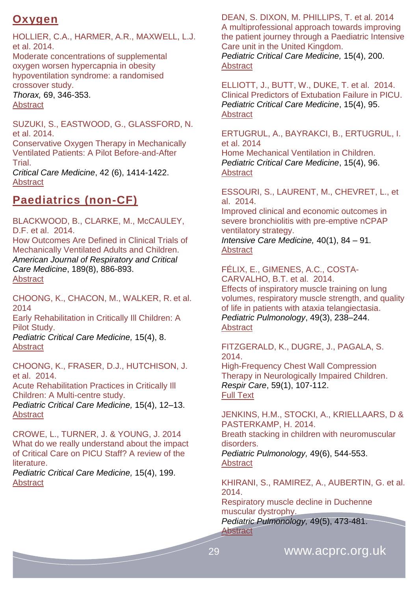# <span id="page-28-0"></span>**Oxygen**

HOLLIER, C.A., HARMER, A.R., MAXWELL, L.J. et al. 2014.

Moderate concentrations of supplemental oxygen worsen hypercapnia in obesity hypoventilation syndrome: a randomised crossover study.

*Thorax,* 69, 346-353. **[Abstract](http://www.thorax.bmj.com/content/69/4/346.abstract)** 

SUZUKI, S., EASTWOOD, G., GLASSFORD, N. et al. 2014.

Conservative Oxygen Therapy in Mechanically Ventilated Patients: A Pilot Before-and-After Trial.

*Critical Care Medicine*, 42 (6), 1414-1422. [Abstract](file:///C:/Users/Simon/AppData/Roaming/Microsoft/Word/ournals.lww.com/ccmjournal/Abstract/2014/06000/Conservative_Oxygen_Therapy_in_Mechanically.13.aspx)

# <span id="page-28-1"></span>**Paediatrics (non-CF)**

BLACKWOOD, B., CLARKE, M., McCAULEY, D.F. et al. 2014.

How Outcomes Are Defined in Clinical Trials of Mechanically Ventilated Adults and Children. *American Journal of Respiratory and Critical Care Medicine*, 189(8), 886-893. [Abstract](http://www.atsjournals.org/doi/abs/10.1164/rccm.201309-1645PP#.VLZ-_iusV-s)

CHOONG, K., CHACON, M., WALKER, R. et al. 2014 Early Rehabilitation in Critically Ill Children: A Pilot Study.

*Pediatric Critical Care Medicine,* 15(4), 8. **[Abstract](http://journals.lww.com/pccmjournal/Fulltext/2014/05001/ABSTRACT_19___EARLY_REHABILITATION_IN_CRITICALLY.19.aspx)** 

CHOONG, K., FRASER, D.J., HUTCHISON, J. et al. 2014.

Acute Rehabilitation Practices in Critically Ill Children: A Multi-centre study.

*Pediatric Critical Care Medicine,* 15(4), 12–13. **[Abstract](http://journals.lww.com/pccmjournal/Fulltext/2014/05001/ABSTRACT_38___ACUTE_REHABILITATION_PRACTICES_IN.38.aspx)** 

CROWE, L., TURNER, J. & YOUNG, J. 2014 What do we really understand about the impact of Critical Care on PICU Staff? A review of the literature.

*Pediatric Critical Care Medicine,* 15(4), 199. **[Abstract](http://journals.lww.com/pccmjournal/Fulltext/2014/05001/ABSTRACT_899___WHAT_DO_WE_REALLY_UNDERSTAND_ABOUT.896.aspx)** 

DEAN, S. DIXON, M. PHILLIPS, T. et al. 2014 A multiprofessional approach towards improving the patient journey through a Paediatric Intensive Care unit in the United Kingdom. *Pediatric Critical Care Medicine,* 15(4), 200. **[Abstract](http://journals.lww.com/pccmjournal/Fulltext/2014/05001/ABSTRACT_903___A_MULTIPROFESSIONAL_APPROACH.900.aspx)** 

ELLIOTT, J., BUTT, W., DUKE, T. et al. 2014. Clinical Predictors of Extubation Failure in PICU. *Pediatric Critical Care Medicine*, 15(4), 95. **[Abstract](http://journals.lww.com/pccmjournal/Fulltext/2014/05001/ABSTRACT_412___CLINICAL_PREDICTORS_OF_EXTUBATION.409.aspx)** 

ERTUGRUL, A., BAYRAKCI, B., ERTUGRUL, I. et al. 2014

Home Mechanical Ventilation in Children. *Pediatric Critical Care Medicine*, 15(4), 96. **[Abstract](http://journals.lww.com/pccmjournal/Fulltext/2014/05001/ABSTRACT_418___HOME_MECHANICAL_VENTILATION_IN.415.aspx)** 

ESSOURI, S., LAURENT, M., CHEVRET, L., et al. 2014.

[Improved clinical and economic outcomes in](http://icmjournal.esicm.org/journal/134/40/1/3129_10.1007_s00134-013-3129-z/2013/Improved_clinical_and_economic_outcomes_in_severe_.html)  [severe bronchiolitis with pre-emptive nCPAP](http://icmjournal.esicm.org/journal/134/40/1/3129_10.1007_s00134-013-3129-z/2013/Improved_clinical_and_economic_outcomes_in_severe_.html)  [ventilatory strategy.](http://icmjournal.esicm.org/journal/134/40/1/3129_10.1007_s00134-013-3129-z/2013/Improved_clinical_and_economic_outcomes_in_severe_.html) *Intensive Care Medicine,* 40(1), 84 – 91*.*

#### **[Abstract](http://icmjournal.esicm.org/journals/abstract.html?v=40&j=134&i=1&a=3129_10.1007_s00134-013-3129-z&doi=)**

FÉLIX, E., GIMENES, A.C., COSTA-CARVALHO, B.T. et al. 2014. Effects of inspiratory muscle training on lung volumes, respiratory muscle strength, and quality of life in patients with ataxia telangiectasia. *Pediatric Pulmonology*, 49(3), 238–244. **[Abstract](http://onlinelibrary.wiley.com/doi/10.1002/ppul.22828/abstract)** 

#### FITZGERALD, K., DUGRE, J., PAGALA, S. 2014.

High-Frequency Chest Wall Compression Therapy in Neurologically Impaired Children. *Respir Care*, 59(1), 107-112. [Full Text](http://rc.rcjournal.com/content/59/1/107.full)

JENKINS, H.M., STOCKI, A., KRIELLAARS, D & PASTERKAMP, H. 2014. Breath stacking in children with neuromuscular disorders.

*Pediatric Pulmonology,* 49(6), 544-553. [Abstract](http://onlinelibrary.wiley.com/doi/10.1002/ppul.22865/abstract)

KHIRANI, S., RAMIREZ, A., AUBERTIN, G. et al. 2014.

Respiratory muscle decline in Duchenne muscular dystrophy. *Pediatric Pulmonology,* 49(5), 473-481. [Abstract](http://onlinelibrary.wiley.com/doi/10.1002/ppul.22847/abstract)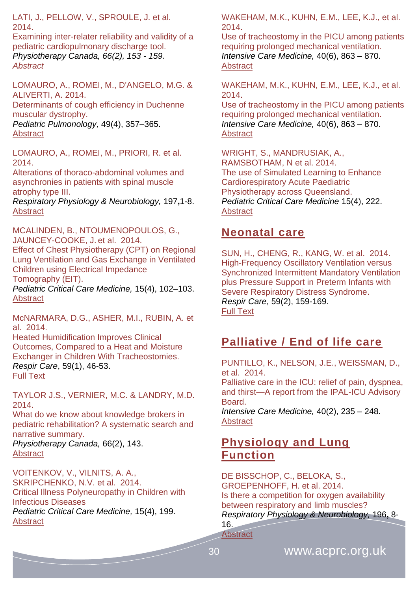LATI, J., PELLOW, V., SPROULE, J. et al. 2014.

Examining inter-relater reliability and validity of a pediatric cardiopulmonary discharge tool. *Physiotherapy Canada, 66(2), 153 - 159. [Abstract](http://www.ncbi.nlm.nih.gov/pmc/articles/PMC4006408/)*

LOMAURO, A., ROMEI, M., D'ANGELO, M.G. & ALIVERTI, A. 2014.

Determinants of cough efficiency in Duchenne muscular dystrophy.

*Pediatric Pulmonology,* 49(4), 357–365. **[Abstract](http://onlinelibrary.wiley.com/doi/10.1002/ppul.22836/abstract)** 

LOMAURO, A., ROMEI, M., PRIORI, R. et al. 2014.

Alterations of thoraco-abdominal volumes and asynchronies in patients with spinal muscle atrophy type III.

*Respiratory Physiology & Neurobiology,* 197**,**1-8. **[Abstract](http://www.ncbi.nlm.nih.gov/pubmed/?term=Alterations+of+thoraco-abdominal+volumes+and+asynchronies+in+patients+with+spinal+muscle+atrophy+type+III.)** 

MCALINDEN, B., NTOUMENOPOULOS, G., JAUNCEY-COOKE, J. et al. 2014.

Effect of Chest Physiotherapy (CPT) on Regional Lung Ventilation and Gas Exchange in Ventilated Children using Electrical Impedance Tomography (EIT).

*Pediatric Critical Care Medicine,* 15(4), 102–103. **[Abstract](http://journals.lww.com/pccmjournal/Fulltext/2014/05001/ABSTRACT_447___EFFECT_OF_CHEST_PHYSIOTHERAPY__CPT_.444.aspx)** 

McNARMARA, D.G., ASHER, M.I., RUBIN, A. et al. 2014.

Heated Humidification Improves Clinical Outcomes, Compared to a Heat and Moisture Exchanger in Children With Tracheostomies. *Respir Care*, 59(1), 46-53. [Full Text](http://rc.rcjournal.com/content/59/1/46.full)

TAYLOR J.S., VERNIER, M.C. & LANDRY, M.D. 2014.

What do we know about knowledge brokers in pediatric rehabilitation? A systematic search and narrative summary.

*Physiotherapy Canada,* 66(2), 143. **[Abstract](http://www.ncbi.nlm.nih.gov/pmc/articles/PMC4006407/)** 

VOITENKOV, V., VILNITS, A. A., SKRIPCHENKO, N.V. et al. 2014. Critical Illness Polyneuropathy in Children with Infectious Diseases *Pediatric Critical Care Medicine,* 15(4), 199. [Abstract](http://journals.lww.com/pccmjournal/Fulltext/2014/05001/ABSTRACT_726___CRITICAL_ILLNESS_POLYNEUROPATHY_IN.723.aspx)

WAKEHAM, M.K., KUHN, E.M., LEE, K.J., et al. 2014.

[Use of tracheostomy in the PICU among patients](http://icmjournal.esicm.org/journal/134/40/6/3298_10.1007_s00134-014-3298-4/2014/Use_of_tracheostomy_in_the_PICU_among_patients_req.html)  [requiring prolonged mechanical ventilation.](http://icmjournal.esicm.org/journal/134/40/6/3298_10.1007_s00134-014-3298-4/2014/Use_of_tracheostomy_in_the_PICU_among_patients_req.html) *Intensive Care Medicine,* 40(6), 863 – 870. **[Abstract](http://icmjournal.esicm.org/journals/abstract.html?v=40&j=134&i=6&a=3298_10.1007_s00134-014-3298-4&doi=)** 

WAKEHAM, M.K., KUHN, E.M., LEE, K.J., et al. 2014.

[Use of tracheostomy in the PICU among patients](http://icmjournal.esicm.org/journal/134/40/6/3298_10.1007_s00134-014-3298-4/2014/Use_of_tracheostomy_in_the_PICU_among_patients_req.html)  [requiring prolonged mechanical ventilation.](http://icmjournal.esicm.org/journal/134/40/6/3298_10.1007_s00134-014-3298-4/2014/Use_of_tracheostomy_in_the_PICU_among_patients_req.html) *Intensive Care Medicine,* 40(6), 863 – 870. [Abstract](http://icmjournal.esicm.org/journals/abstract.html?v=40&j=134&i=6&a=3298_10.1007_s00134-014-3298-4&doi=)

WRIGHT, S., MANDRUSIAK, A., RAMSBOTHAM, N et al. 2014. The use of Simulated Learning to Enhance Cardiorespiratory Acute Paediatric Physiotherapy across Queensland. *Pediatric Critical Care Medicine* 15(4), 222. **[Abstract](http://journals.lww.com/pccmjournal/Fulltext/2014/05001/ABSTRACT_1006___THE_USE_OF_SIMULATED_LEARNING_TO.1003.aspx)** 

#### <span id="page-29-0"></span>**Neonatal care**

SUN, H., CHENG, R., KANG, W. et al. 2014. High-Frequency Oscillatory Ventilation versus Synchronized Intermittent Mandatory Ventilation plus Pressure Support in Preterm Infants with Severe Respiratory Distress Syndrome. *Respir Care*, 59(2), 159-169. [Full Text](http://rc.rcjournal.com/content/59/2/159.full)

# <span id="page-29-1"></span>**Palliative / End of life care**

PUNTILLO, K., NELSON, J.E., WEISSMAN, D., et al. 2014.

[Palliative care in the ICU: relief of pain, dyspnea,](http://icmjournal.esicm.org/journal/134/40/2/3153_10.1007_s00134-013-3153-z/2013/Palliative_care_in_the_ICU_relief_of_pain_dyspne.html)  [and thirst—A report from the IPAL-ICU Advisory](http://icmjournal.esicm.org/journal/134/40/2/3153_10.1007_s00134-013-3153-z/2013/Palliative_care_in_the_ICU_relief_of_pain_dyspne.html)  [Board.](http://icmjournal.esicm.org/journal/134/40/2/3153_10.1007_s00134-013-3153-z/2013/Palliative_care_in_the_ICU_relief_of_pain_dyspne.html)

*Intensive Care Medicine,* 40(2), 235 – 248*.* **[Abstract](http://icmjournal.esicm.org/journals/abstract.html?v=40&j=134&i=2&a=3153_10.1007_s00134-013-3153-z&doi=)** 

#### <span id="page-29-2"></span>**Physiology and Lung Function**

DE BISSCHOP, C., BELOKA, S., GROEPENHOFF, H. et al. 2014. Is there a competition for oxygen availability between respiratory and limb muscles? *Respiratory Physiology & Neurobiology,* 196**,** 8- 16.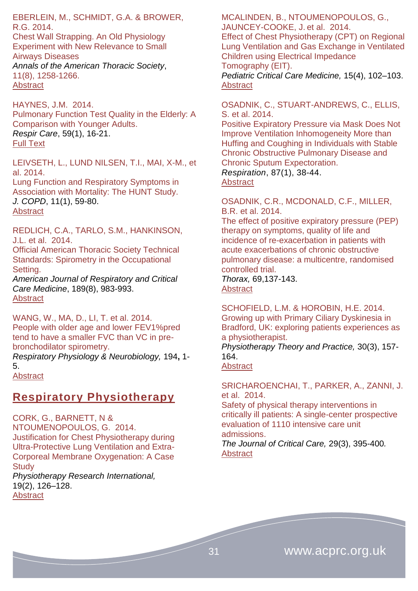EBERLEIN, M., SCHMIDT, G.A. & BROWER, R.G. 2014.

Chest Wall Strapping. An Old Physiology Experiment with New Relevance to Small Airways Diseases *Annals of the American Thoracic Society*, 11(8), 1258-1266. [Abstract](http://www.atsjournals.org/doi/abs/10.1513/AnnalsATS.201312-465OI#.VLZsBSusV-s)

HAYNES, J.M. 2014. Pulmonary Function Test Quality in the Elderly: A Comparison with Younger Adults. *Respir Care*, 59(1), 16-21. [Full Text](http://rc.rcjournal.com/content/59/1/16.full)

LEIVSETH, L., LUND NILSEN, T.I., MAI, X-M., et al. 2014. Lung Function and Respiratory Symptoms in

Association with Mortality: The HUNT Study. *J. COPD*, 11(1), 59-80. **[Abstract](http://informahealthcare.com/doi/abs/10.3109/15412555.2013.781578)** 

REDLICH, C.A., TARLO, S.M., HANKINSON, J.L. et al. 2014.

Official American Thoracic Society Technical Standards: Spirometry in the Occupational Setting.

*American Journal of Respiratory and Critical Care Medicine*, 189(8), 983-993. **[Abstract](http://www.atsjournals.org/doi/abs/10.1164/rccm.201402-0337ST#.VLZ_iyusV-s)** 

WANG, W., MA, D., LI, T. et al. 2014. People with older age and lower FEV1%pred tend to have a smaller FVC than VC in prebronchodilator spirometry.

*Respiratory Physiology & Neurobiology,* 194**,** 1- 5.

[Abstract](http://www.ncbi.nlm.nih.gov/pubmed/?term=People+with+older+age+and+lower+FEV1%25pred+tend+to+have+a+smaller+FVC+than+VC+in+pre-bronchodilator+spirometry.)

#### <span id="page-30-0"></span>**Respiratory Physiotherapy**

CORK, G., BARNETT, N & NTOUMENOPOULOS, G. 2014. Justification for Chest Physiotherapy during Ultra-Protective Lung Ventilation and Extra-Corporeal Membrane Oxygenation: A Case **Study** 

*Physiotherapy Research International,* 19(2), 126–128. **[Abstract](http://www.ncbi.nlm.nih.gov/pubmed/?term=Justification+for+Chest+Physiotherapy+during+Ultra-Protective+Lung+Ventilation+and+Extra-Corporeal+Membrane+Oxygenation%3A+A+Case+Study)** 

MCALINDEN, B., NTOUMENOPOULOS, G., JAUNCEY-COOKE, J. et al. 2014.

Effect of Chest Physiotherapy (CPT) on Regional Lung Ventilation and Gas Exchange in Ventilated Children using Electrical Impedance Tomography (EIT).

*Pediatric Critical Care Medicine,* 15(4), 102–103. [Abstract](http://journals.lww.com/pccmjournal/Fulltext/2014/05001/ABSTRACT_447___EFFECT_OF_CHEST_PHYSIOTHERAPY__CPT_.444.aspx)

#### OSADNIK, C., STUART-ANDREWS, C., ELLIS, S. et al. 2014.

[Positive Expiratory Pressure via Mask Does Not](http://www.karger.com/Article/FullText/348546)  [Improve Ventilation Inhomogeneity More than](http://www.karger.com/Article/FullText/348546)  [Huffing and Coughing in Individuals with Stable](http://www.karger.com/Article/FullText/348546)  [Chronic Obstructive Pulmonary Disease and](http://www.karger.com/Article/FullText/348546)  [Chronic Sputum Expectoration.](http://www.karger.com/Article/FullText/348546)

*Respiration*, 87(1), 38-44.

[Abstract](http://www.ncbi.nlm.nih.gov/pubmed/23752553)

OSADNIK, C.R., MCDONALD, C.F., MILLER, B.R. et al. 2014.

The effect of positive expiratory pressure (PEP) therapy on symptoms, quality of life and incidence of re-exacerbation in patients with acute exacerbations of chronic obstructive pulmonary disease: a multicentre, randomised controlled trial.

*Thorax,* 69,137-143. [Abstract](http://www.thorax.bmj.com/content/69/2/137.abstract)

SCHOFIELD, L.M. & HOROBIN, H.E. 2014. Growing up with Primary Ciliary Dyskinesia in Bradford, UK: exploring patients experiences as a physiotherapist.

*Physiotherapy Theory and Practice,* 30(3), 157- 164.

**[Abstract](http://www.informahealthcare.com/doi/abs/10.3109/09593985.2013.845863)** 

SRICHAROENCHAI, T., PARKER, A., ZANNI, J. et al. 2014.

Safety of physical therapy interventions in critically ill patients: A single-center prospective evaluation of 1110 intensive care unit admissions.

*The Journal of Critical Care,* 29(3), 395-400*.* [Abstract](http://www.jccjournal.org/article/S0883-9441(13)00480-2/abstract)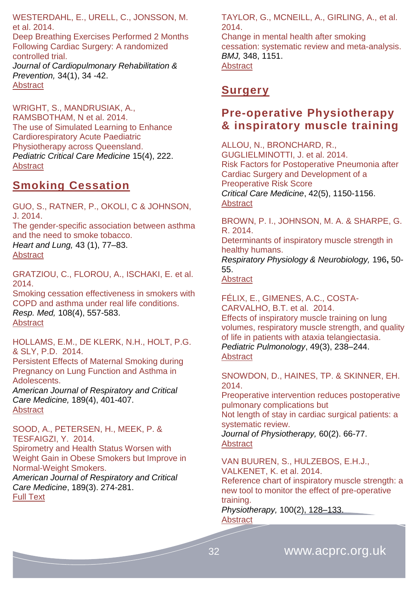WESTERDAHL, E., URELL, C., JONSSON, M. et al. 2014.

Deep Breathing Exercises Performed 2 Months Following Cardiac Surgery: A randomized controlled trial. *Journal of Cardiopulmonary Rehabilitation & Prevention,* 34(1), 34 -42.

[Abstract](http://journals.lww.com/jcrjournal/Abstract/2014/01000/Deep_Breathing_Exercises_Performed_2_Months.5.aspx)

WRIGHT, S., MANDRUSIAK, A., RAMSBOTHAM, N et al. 2014. The use of Simulated Learning to Enhance Cardiorespiratory Acute Paediatric Physiotherapy across Queensland. *Pediatric Critical Care Medicine* 15(4), 222. **[Abstract](http://journals.lww.com/pccmjournal/Fulltext/2014/05001/ABSTRACT_1006___THE_USE_OF_SIMULATED_LEARNING_TO.1003.aspx)** 

#### <span id="page-31-0"></span>**Smoking Cessation**

GUO, S., RATNER, P., OKOLI, C & JOHNSON, J. 2014. The gender-specific association between asthma and the need to smoke tobacco. *Heart and Lung,* 43 (1), 77–83. [Abstract](http://www.heartandlung.org/article/S0147-9563(13)00310-5/abstract)

GRATZIOU, C., FLOROU, A., ISCHAKI, E. et al. 2014.

Smoking cessation effectiveness in smokers with COPD and asthma under real life conditions. *Resp. Med,* 108(4), 557-583. **[Abstract](http://www.resmedjournal.com/article/S0954-6111%2814%2900030-4/abstract)** 

HOLLAMS, E.M., DE KLERK, N.H., HOLT, P.G. & SLY, P.D. 2014.

Persistent Effects of Maternal Smoking during Pregnancy on Lung Function and Asthma in Adolescents.

*American Journal of Respiratory and Critical Care Medicine,* 189(4), 401-407. **[Abstract](http://www.atsjournals.org/doi/abs/10.1164/rccm.201302-0323OC#.VLZ8eiusV-s)** 

SOOD, A., PETERSEN, H., MEEK, P. & TESFAIGZI, Y. 2014. Spirometry and Health Status Worsen with Weight Gain in Obese Smokers but Improve in Normal-Weight Smokers.

*American Journal of Respiratory and Critical Care Medicine*, 189(3). 274-281. [Full Text](http://www.atsjournals.org/doi/abs/10.1164/rccm.201306-1060OC#.VLZrvSusV-t)

TAYLOR, G., MCNEILL, A., GIRLING, A., et al. 2014.

Change in mental health after smoking cessation: systematic review and meta-analysis. *BMJ,* 348, 1151. **[Abstract](http://www.bmj.com/content/348/bmj.g1151)** 

#### <span id="page-31-1"></span>**Surgery**

#### <span id="page-31-2"></span>**Pre-operative Physiotherapy & inspiratory muscle training**

ALLOU, N., BRONCHARD, R., GUGLIELMINOTTI, J. et al. 2014. Risk Factors for Postoperative Pneumonia after Cardiac Surgery and Development of a Preoperative Risk Score *Critical Care Medicine*, 42(5), 1150-1156. **[Abstract](http://journals.lww.com/ccmjournal/Abstract/2014/05000/Risk_Factors_for_Postoperative_Pneumonia_After.16.aspx)** 

BROWN, P. I., JOHNSON, M. A. & SHARPE, G. R. 2014.

Determinants of inspiratory muscle strength in healthy humans.

*Respiratory Physiology & Neurobiology,* 196**,** 50- 55.

**[Abstract](http://www.ncbi.nlm.nih.gov/pubmed/24598814)** 

FÉLIX, E., GIMENES, A.C., COSTA-CARVALHO, B.T. et al. 2014. Effects of inspiratory muscle training on lung volumes, respiratory muscle strength, and quality of life in patients with ataxia telangiectasia. *Pediatric Pulmonology*, 49(3), 238–244. [Abstract](http://onlinelibrary.wiley.com/doi/10.1002/ppul.22828/abstract)

SNOWDON, D., HAINES, TP. & SKINNER, EH. 2014.

Preoperative intervention reduces postoperative pulmonary complications but

Not length of stay in cardiac surgical patients: a systematic review.

*Journal of Physiotherapy,* 60(2). 66-77. **[Abstract](http://www.journalofphysiotherapy.com/article/S1836-9553(14)00037-X/pdf)** 

VAN BUUREN, S., HULZEBOS, E.H.J., VALKENET, K. et al. 2014.

Reference chart of inspiratory muscle strength: a new tool to monitor the effect of pre-operative training.

*Physiotherapy,* 100(2), 128–133. [Abstract](http://www.physiotherapyjournal.com/article/S0031-9406(13)00088-6/abstract)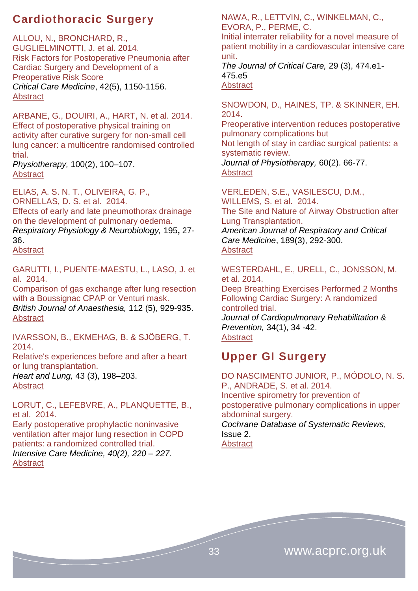# <span id="page-32-0"></span>**Cardiothoracic Surgery**

ALLOU, N., BRONCHARD, R., GUGLIELMINOTTI, J. et al. 2014. Risk Factors for Postoperative Pneumonia after Cardiac Surgery and Development of a Preoperative Risk Score *Critical Care Medicine*, 42(5), 1150-1156. **[Abstract](http://journals.lww.com/ccmjournal/Abstract/2014/05000/Risk_Factors_for_Postoperative_Pneumonia_After.16.aspx)** 

ARBANE, G., DOUIRI, A., HART, N. et al. 2014. Effect of postoperative physical training on activity after curative surgery for non-small cell lung cancer: a multicentre randomised controlled trial.

*Physiotherapy,* 100(2), 100–107. [Abstract](http://www.physiotherapyjournal.com/article/S0031-9406(14)00022-4/abstract)

ELIAS, A. S. N. T., OLIVEIRA, G. P., ORNELLAS, D. S. et al. 2014. Effects of early and late pneumothorax drainage

on the development of pulmonary oedema. *Respiratory Physiology & Neurobiology,* 195**,** 27- 36.

[Abstract](http://www.ncbi.nlm.nih.gov/pubmed/?term=Effects+of+early+and+late+pneumothorax+drainage+on+the+development+of+pulmonary+oedema.)

GARUTTI, I., PUENTE-MAESTU, L., LASO, J. et al. 2014.

Comparison of gas exchange after lung resection with a Boussignac CPAP or Venturi mask. *British Journal of Anaesthesia,* 112 (5), 929-935. **[Abstract](http://bja.oxfordjournals.org/content/112/5/929.abstract)** 

IVARSSON, B., EKMEHAG, B. & SJÖBERG, T. 2014.

Relative's experiences before and after a heart or lung transplantation.

*Heart and Lung,* 43 (3), 198–203. **[Abstract](http://www.heartandlung.org/article/S0147-9563(14)00051-X/abstract)** 

LORUT, C., LEFEBVRE, A., PLANQUETTE, B., et al. 2014.

[Early postoperative prophylactic noninvasive](http://icmjournal.esicm.org/journal/134/40/2/3150_10.1007_s00134-013-3150-2/2013/Early_postoperative_prophylactic_noninvasive_venti.html)  ventilation after [major lung resection in COPD](http://icmjournal.esicm.org/journal/134/40/2/3150_10.1007_s00134-013-3150-2/2013/Early_postoperative_prophylactic_noninvasive_venti.html)  [patients: a randomized controlled trial.](http://icmjournal.esicm.org/journal/134/40/2/3150_10.1007_s00134-013-3150-2/2013/Early_postoperative_prophylactic_noninvasive_venti.html) *Intensive Care Medicine, 40(2), 220 – 227.*

[Abstract](http://icmjournal.esicm.org/journals/abstract.html?v=40&j=134&i=2&a=3150_10.1007_s00134-013-3150-2&doi=)

NAWA, R., LETTVIN, C., WINKELMAN, C., EVORA, P., PERME, C.

Initial interrater reliability for a novel measure of patient mobility in a cardiovascular intensive care unit.

*The Journal of Critical Care,* 29 (3), 474.e1- 475.e5 **[Abstract](http://www.jccjournal.org/article/S0883-9441(14)00047-1/abstract)** 

SNOWDON, D., HAINES, TP. & SKINNER, EH. 2014.

Preoperative intervention reduces postoperative pulmonary complications but

Not length of stay in cardiac surgical patients: a systematic review.

*Journal of Physiotherapy,* 60(2). 66-77. [Abstract](http://www.journalofphysiotherapy.com/article/S1836-9553(14)00037-X/pdf)

VERLEDEN, S.E., VASILESCU, D.M., WILLEMS, S. et al. 2014. The Site and Nature of Airway Obstruction after Lung Transplantation. *American Journal of Respiratory and Critical* 

*Care Medicine*, 189(3), 292-300.

#### [Abstract](http://www.atsjournals.org/doi/abs/10.1164/rccm.201310-1894OC#.VLZ8BSusV-s)

WESTERDAHL, E., URELL, C., JONSSON, M. et al. 2014.

Deep Breathing Exercises Performed 2 Months Following Cardiac Surgery: A randomized controlled trial. *Journal of Cardiopulmonary Rehabilitation & Prevention,* 34(1), 34 -42. [Abstract](http://journals.lww.com/jcrjournal/Abstract/2014/01000/Deep_Breathing_Exercises_Performed_2_Months.5.aspx)

# <span id="page-32-1"></span>**Upper GI Surgery**

DO NASCIMENTO JUNIOR, P., MÓDOLO, N. S. P., ANDRADE, S. et al. 2014. Incentive spirometry for prevention of postoperative pulmonary complications in upper abdominal surgery. *Cochrane Database of Systematic Reviews*, Issue 2. **[Abstract](http://onlinelibrary.wiley.com/doi/10.1002/14651858.CD006058.pub3/abstract)**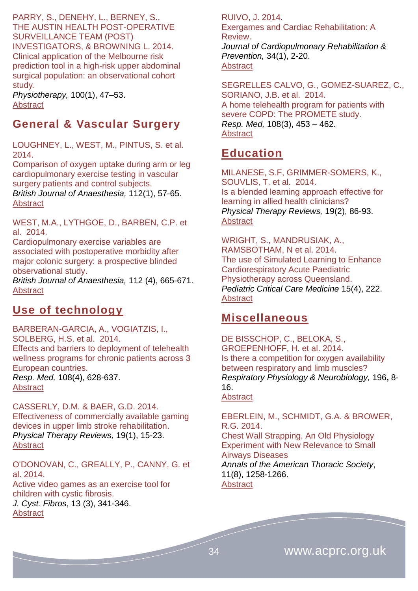PARRY, S., DENEHY, L., BERNEY, S., THE AUSTIN HEALTH POST-OPERATIVE SURVEILLANCE TEAM (POST) INVESTIGATORS, & BROWNING L. 2014. Clinical application of the Melbourne risk prediction tool in a high-risk upper abdominal surgical population: an observational cohort study.

*Physiotherapy,* 100(1), 47–53. **[Abstract](http://www.physiotherapyjournal.com/article/S0031-9406(13)00054-0/abstract)** 

# <span id="page-33-0"></span>**General & Vascular Surgery**

LOUGHNEY, L., WEST, M., PINTUS, S. et al. 2014.

Comparison of oxygen uptake during arm or leg cardiopulmonary exercise testing in vascular surgery patients and control subjects. *British Journal of Anaesthesia,* 112(1), 57-65.

**[Abstract](http://bja.oxfordjournals.org/content/112/1/57.abstract)** 

WEST, M.A., LYTHGOE, D., BARBEN, C.P. et al. 2014.

Cardiopulmonary exercise variables are associated with postoperative morbidity after major colonic surgery: a prospective blinded observational study.

*British Journal of Anaesthesia,* 112 (4), 665-671. **[Abstract](http://bja.oxfordjournals.org/content/112/4/665.abstract)** 

### <span id="page-33-1"></span>**Use of technology**

BARBERAN-GARCIA, A., VOGIATZIS, I., SOLBERG, H.S. et al. 2014. Effects and barriers to deployment of telehealth wellness programs for chronic patients across 3 European countries. *Resp. Med,* 108(4), 628-637. [Abstract](http://www.resmedjournal.com/article/S0954-6111%2813%2900492-7/abstract)

CASSERLY, D.M. & BAER, G.D. 2014. Effectiveness of commercially available gaming devices in upper limb stroke rehabilitation. *Physical Therapy Reviews,* 19(1), 15-23. **[Abstract](http://www.maneyonline.com/doi/abs/10.1179/1743288X13Y.0000000098)** 

O'DONOVAN, C., GREALLY, P., CANNY, G. et al. 2014. [Active video games as an exercise tool for](http://www.cysticfibrosisjournal.com/article/S1569-1993(13)00165-3/abstract)  [children with cystic fibrosis.](http://www.cysticfibrosisjournal.com/article/S1569-1993(13)00165-3/abstract) *J. Cyst. Fibros*, 13 (3), 341-346. [Abstract](http://www.ncbi.nlm.nih.gov/pubmed/24189057)

RUIVO, J. 2014. Exergames and Cardiac Rehabilitation: A Review. *Journal of Cardiopulmonary Rehabilitation & Prevention,* 34(1), 2-20. **[Abstract](http://journals.lww.com/jcrjournal/Abstract/2014/01000/Exergames_and_Cardiac_Rehabilitation__A_REVIEW.2.aspx)** 

SEGRELLES CALVO, G., GOMEZ-SUAREZ, C., SORIANO, J.B. et al. 2014. A home telehealth program for patients with severe COPD: The PROMETE study. *Resp. Med,* 108(3), 453 – 462. [Abstract](http://www.resmedjournal.com/article/S0954-6111%2813%2900489-7/abstract)

# <span id="page-33-2"></span>**Education**

MILANESE, S.F, GRIMMER-SOMERS, K., SOUVLIS, T. et al. 2014. Is a blended learning approach effective for learning in allied health clinicians? *Physical Therapy Reviews,* 19(2), 86-93. **[Abstract](http://www.maneyonline.com/doi/abs/10.1179/1743288X13Y.0000000113)** 

WRIGHT, S., MANDRUSIAK, A., RAMSBOTHAM, N et al. 2014. The use of Simulated Learning to Enhance Cardiorespiratory Acute Paediatric Physiotherapy across Queensland. *Pediatric Critical Care Medicine* 15(4), 222. **[Abstract](http://journals.lww.com/pccmjournal/Fulltext/2014/05001/ABSTRACT_1006___THE_USE_OF_SIMULATED_LEARNING_TO.1003.aspx)** 

#### <span id="page-33-3"></span>**Miscellaneous**

DE BISSCHOP, C., BELOKA, S., GROEPENHOFF, H. et al. 2014. Is there a competition for oxygen availability between respiratory and limb muscles? *Respiratory Physiology & Neurobiology,* 196**,** 8- 16.

#### **[Abstract](http://www.ncbi.nlm.nih.gov/pubmed/?term=Is+there+a+competition+for+oxygen+availability+between+respiratory+and+limb+muscles%3F)**

EBERLEIN, M., SCHMIDT, G.A. & BROWER, R.G. 2014. Chest Wall Strapping. An Old Physiology Experiment with New Relevance to Small Airways Diseases *Annals of the American Thoracic Society*, 11(8), 1258-1266.

**[Abstract](http://www.atsjournals.org/doi/abs/10.1513/AnnalsATS.201312-465OI#.VLZsBSusV-s)**